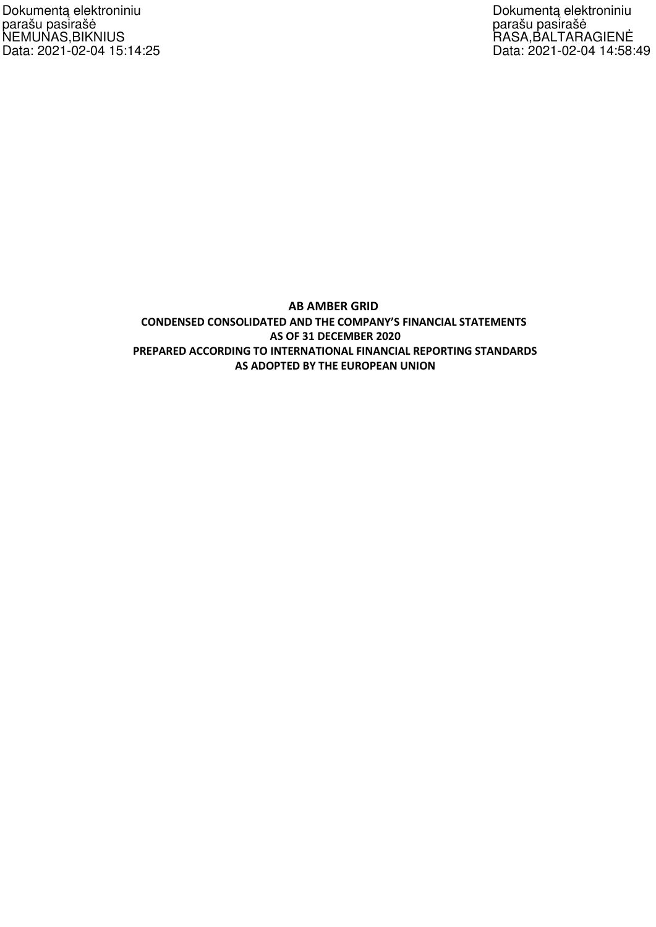Dokumentą elektroniniu parašu pasirašė NEMUNAS,BIKNIUS Data: 2021-02-04 15:14:25 Dokumentą elektroniniu parašu pasirašė RASA,BALTARAGIENĖ Data: 2021-02-04 14:58:49

# **AB AMBER GRID CONDENSED CONSOLIDATED AND THE COMPANY'S FINANCIAL STATEMENTS AS OF 31 DECEMBER 2020 PREPARED ACCORDING TO INTERNATIONAL FINANCIAL REPORTING STANDARDS AS ADOPTED BY THE EUROPEAN UNION**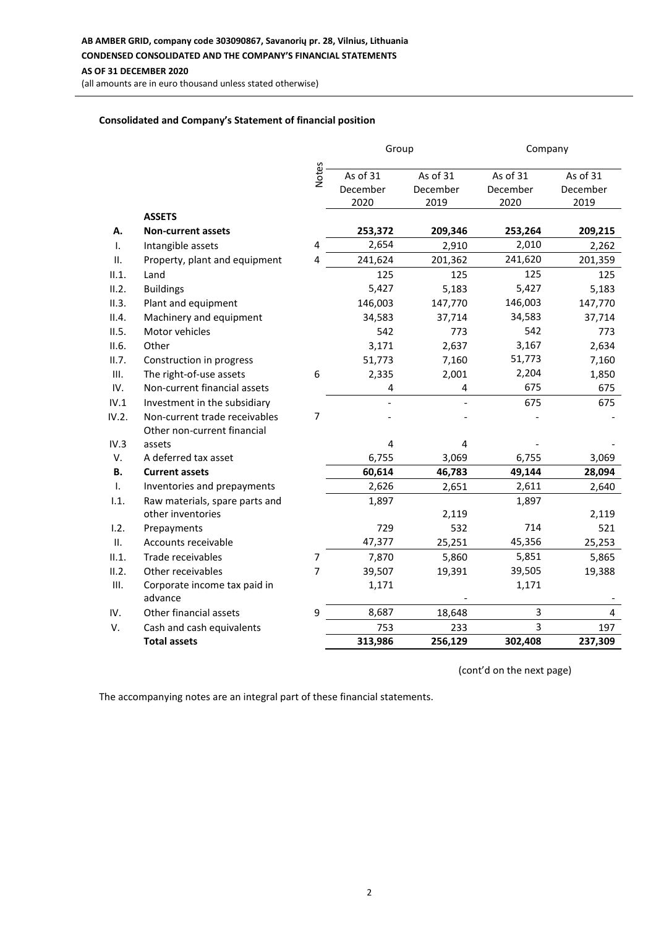**AB AMBER GRID, company code 303090867, Savanorių pr. 28, Vilnius, Lithuania**

## **CONDENSED CONSOLIDATED AND THE COMPANY'S FINANCIAL STATEMENTS**

#### **AS OF 31 DECEMBER 2020**

(all amounts are in euro thousand unless stated otherwise)

## **Consolidated and Company's Statement of financial position**

|             |                                |                | Group                        |                              | Company                      |                              |  |
|-------------|--------------------------------|----------------|------------------------------|------------------------------|------------------------------|------------------------------|--|
|             |                                | <b>Notes</b>   | As of 31<br>December<br>2020 | As of 31<br>December<br>2019 | As of 31<br>December<br>2020 | As of 31<br>December<br>2019 |  |
|             | <b>ASSETS</b>                  |                |                              |                              |                              |                              |  |
| А.          | <b>Non-current assets</b>      |                | 253,372                      | 209,346                      | 253,264                      | 209,215                      |  |
| Τ.          | Intangible assets              | 4              | 2,654                        | 2,910                        | 2,010                        | 2,262                        |  |
| П.          | Property, plant and equipment  | 4              | 241,624                      | 201,362                      | 241,620                      | 201,359                      |  |
| II.1.       | Land                           |                | 125                          | 125                          | 125                          | 125                          |  |
| II.2.       | <b>Buildings</b>               |                | 5,427                        | 5,183                        | 5,427                        | 5,183                        |  |
| II.3.       | Plant and equipment            |                | 146,003                      | 147,770                      | 146,003                      | 147,770                      |  |
| II.4.       | Machinery and equipment        |                | 34,583                       | 37,714                       | 34,583                       | 37,714                       |  |
| II.5.       | Motor vehicles                 |                | 542                          | 773                          | 542                          | 773                          |  |
| II.6.       | Other                          |                | 3,171                        | 2,637                        | 3,167                        | 2,634                        |  |
| II.7.       | Construction in progress       |                | 51,773                       | 7,160                        | 51,773                       | 7,160                        |  |
| III.        | The right-of-use assets        | 6              | 2,335                        | 2,001                        | 2,204                        | 1,850                        |  |
| IV.         | Non-current financial assets   |                | 4                            | 4                            | 675                          | 675                          |  |
| IV.1        | Investment in the subsidiary   |                |                              |                              | 675                          | 675                          |  |
| IV.2.       | Non-current trade receivables  | $\overline{7}$ |                              |                              |                              |                              |  |
|             | Other non-current financial    |                |                              |                              |                              |                              |  |
| IV.3        | assets                         |                | 4                            | 4                            |                              |                              |  |
| $V_{\cdot}$ | A deferred tax asset           |                | 6,755                        | 3,069                        | 6,755                        | 3,069                        |  |
| В.          | <b>Current assets</b>          |                | 60,614                       | 46,783                       | 49,144                       | 28,094                       |  |
| Τ.          | Inventories and prepayments    |                | 2,626                        | 2,651                        | 2,611                        | 2,640                        |  |
| 1.1.        | Raw materials, spare parts and |                | 1,897                        |                              | 1,897                        |                              |  |
|             | other inventories              |                |                              | 2,119                        |                              | 2,119                        |  |
| 1.2.        | Prepayments                    |                | 729                          | 532                          | 714                          | 521                          |  |
| II.         | Accounts receivable            |                | 47,377                       | 25,251                       | 45,356                       | 25,253                       |  |
| II.1.       | Trade receivables              | 7              | 7,870                        | 5,860                        | 5,851                        | 5,865                        |  |
| II.2.       | Other receivables              | $\overline{7}$ | 39,507                       | 19,391                       | 39,505                       | 19,388                       |  |
| III.        | Corporate income tax paid in   |                | 1,171                        |                              | 1,171                        |                              |  |
|             | advance                        |                |                              |                              |                              |                              |  |
| IV.         | Other financial assets         | 9              | 8,687                        | 18,648                       | 3                            | 4                            |  |
| V.          | Cash and cash equivalents      |                | 753                          | 233                          | 3                            | 197                          |  |
|             | <b>Total assets</b>            |                | 313,986                      | 256,129                      | 302,408                      | 237,309                      |  |

(cont'd on the next page)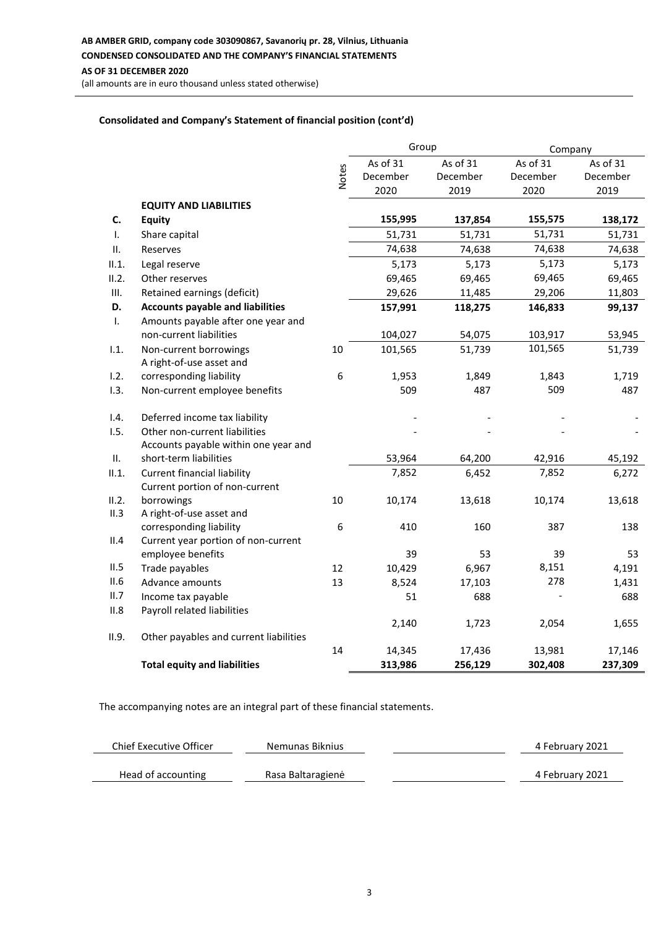**AB AMBER GRID, company code 303090867, Savanorių pr. 28, Vilnius, Lithuania CONDENSED CONSOLIDATED AND THE COMPANY'S FINANCIAL STATEMENTS**

## **AS OF 31 DECEMBER 2020**

(all amounts are in euro thousand unless stated otherwise)

#### **Consolidated and Company's Statement of financial position (cont'd)**

|       |                                         |              | Group<br>Company |          |          |          |
|-------|-----------------------------------------|--------------|------------------|----------|----------|----------|
|       |                                         |              | As of 31         | As of 31 | As of 31 | As of 31 |
|       |                                         | <b>Notes</b> | December         | December | December | December |
|       |                                         |              | 2020             | 2019     | 2020     | 2019     |
|       | <b>EQUITY AND LIABILITIES</b>           |              |                  |          |          |          |
| C.    | <b>Equity</b>                           |              | 155,995          | 137,854  | 155,575  | 138,172  |
| Τ.    | Share capital                           |              | 51,731           | 51,731   | 51,731   | 51,731   |
| ΙΙ.   | Reserves                                |              | 74,638           | 74,638   | 74,638   | 74,638   |
| II.1. | Legal reserve                           |              | 5,173            | 5,173    | 5,173    | 5,173    |
| II.2. | Other reserves                          |              | 69,465           | 69,465   | 69,465   | 69,465   |
| III.  | Retained earnings (deficit)             |              | 29,626           | 11,485   | 29,206   | 11,803   |
| D.    | <b>Accounts payable and liabilities</b> |              | 157,991          | 118,275  | 146,833  | 99,137   |
| Τ.    | Amounts payable after one year and      |              |                  |          |          |          |
|       | non-current liabilities                 |              | 104,027          | 54,075   | 103,917  | 53,945   |
| 1.1.  | Non-current borrowings                  | 10           | 101,565          | 51,739   | 101,565  | 51,739   |
|       | A right-of-use asset and                |              |                  |          |          |          |
| 1.2.  | corresponding liability                 | 6            | 1,953            | 1,849    | 1,843    | 1,719    |
| 1.3.  | Non-current employee benefits           |              | 509              | 487      | 509      | 487      |
| 1.4.  | Deferred income tax liability           |              |                  |          |          |          |
| 1.5.  | Other non-current liabilities           |              |                  |          |          |          |
|       | Accounts payable within one year and    |              |                  |          |          |          |
| П.    | short-term liabilities                  |              | 53,964           | 64,200   | 42,916   | 45,192   |
| II.1. | <b>Current financial liability</b>      |              | 7,852            | 6,452    | 7,852    | 6,272    |
|       | Current portion of non-current          |              |                  |          |          |          |
| II.2. | borrowings                              | 10           | 10,174           | 13,618   | 10,174   | 13,618   |
| II.3  | A right-of-use asset and                |              |                  |          |          |          |
|       | corresponding liability                 | 6            | 410              | 160      | 387      | 138      |
| II.4  | Current year portion of non-current     |              |                  |          |          |          |
|       | employee benefits                       |              | 39               | 53       | 39       | 53       |
| II.5  | Trade payables                          | 12           | 10,429           | 6,967    | 8,151    | 4,191    |
| II.6  | Advance amounts                         | 13           | 8,524            | 17,103   | 278      | 1,431    |
| II.7  | Income tax payable                      |              | 51               | 688      |          | 688      |
| II.8  | Payroll related liabilities             |              |                  |          |          |          |
| II.9. | Other payables and current liabilities  |              | 2,140            | 1,723    | 2,054    | 1,655    |
|       |                                         | 14           | 14,345           | 17,436   | 13,981   | 17,146   |
|       | <b>Total equity and liabilities</b>     |              | 313,986          | 256,129  | 302,408  | 237,309  |

| Chief Executive Officer | Nemunas Biknius   | 4 February 2021 |
|-------------------------|-------------------|-----------------|
| Head of accounting      | Rasa Baltaragienė | 4 February 2021 |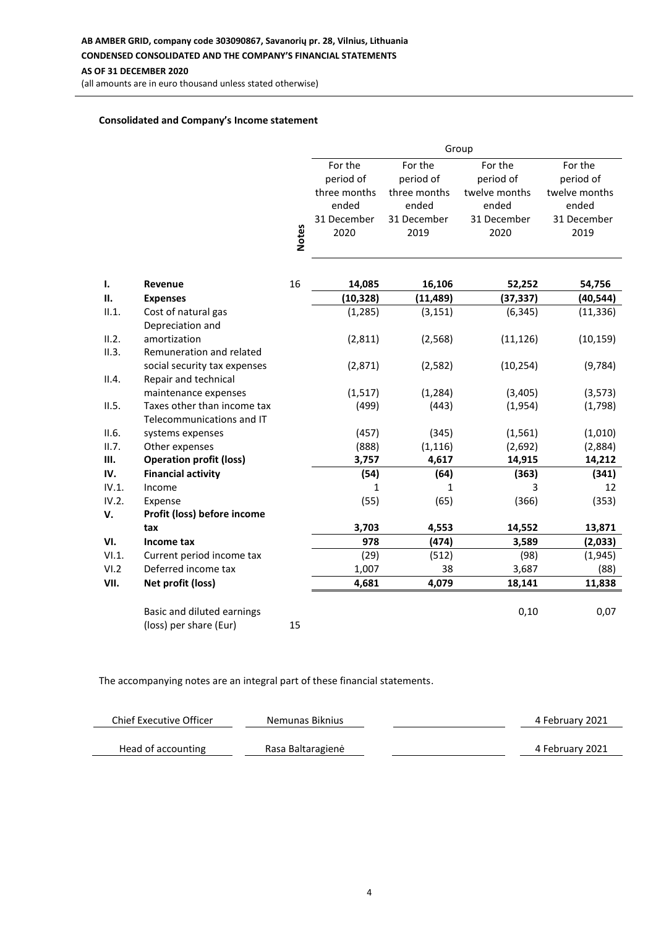#### **AB AMBER GRID, company code 303090867, Savanorių pr. 28, Vilnius, Lithuania**

## **CONDENSED CONSOLIDATED AND THE COMPANY'S FINANCIAL STATEMENTS**

#### **AS OF 31 DECEMBER 2020**

(all amounts are in euro thousand unless stated otherwise)

#### **Consolidated and Company's Income statement**

|                |                                                          | Group        |              |              |               |               |
|----------------|----------------------------------------------------------|--------------|--------------|--------------|---------------|---------------|
|                |                                                          |              | For the      | For the      | For the       | For the       |
|                |                                                          |              | period of    | period of    | period of     | period of     |
|                |                                                          |              | three months | three months | twelve months | twelve months |
|                |                                                          |              | ended        | ended        | ended         | ended         |
|                |                                                          |              | 31 December  | 31 December  | 31 December   | 31 December   |
|                |                                                          | <b>Notes</b> | 2020         | 2019         | 2020          | 2019          |
|                |                                                          |              |              |              |               |               |
|                |                                                          |              |              |              |               |               |
| $\mathbf{I}$ . | Revenue                                                  | 16           | 14,085       | 16,106       | 52,252        | 54,756        |
| П.             | <b>Expenses</b>                                          |              | (10, 328)    | (11, 489)    | (37, 337)     | (40, 544)     |
| II.1.          | Cost of natural gas<br>Depreciation and                  |              | (1, 285)     | (3, 151)     | (6, 345)      | (11, 336)     |
| II.2.          | amortization                                             |              | (2,811)      | (2, 568)     | (11, 126)     | (10, 159)     |
| II.3.          | Remuneration and related                                 |              |              |              |               |               |
|                | social security tax expenses                             |              | (2,871)      | (2, 582)     | (10, 254)     | (9, 784)      |
| II.4.          | Repair and technical                                     |              |              |              |               |               |
|                | maintenance expenses                                     |              | (1, 517)     | (1, 284)     | (3,405)       | (3, 573)      |
| II.5.          | Taxes other than income tax<br>Telecommunications and IT |              | (499)        | (443)        | (1,954)       | (1,798)       |
| II.6.          | systems expenses                                         |              | (457)        | (345)        | (1, 561)      | (1,010)       |
| II.7.          | Other expenses                                           |              | (888)        | (1, 116)     | (2,692)       | (2,884)       |
| Ш.             | <b>Operation profit (loss)</b>                           |              | 3,757        | 4,617        | 14,915        | 14,212        |
| IV.            | <b>Financial activity</b>                                |              | (54)         | (64)         | (363)         | (341)         |
| IV.1.          | Income                                                   |              | 1            | 1            | 3             | 12            |
| IV.2.          | Expense                                                  |              | (55)         | (65)         | (366)         | (353)         |
| v.             | Profit (loss) before income                              |              |              |              |               |               |
|                | tax                                                      |              | 3,703        | 4,553        | 14,552        | 13,871        |
| VI.            | Income tax                                               |              | 978          | (474)        | 3,589         | (2,033)       |
| VI.1.          | Current period income tax                                |              | (29)         | (512)        | (98)          | (1, 945)      |
| VI.2           | Deferred income tax                                      |              | 1,007        | 38           | 3,687         | (88)          |
| VII.           | Net profit (loss)                                        |              | 4,681        | 4,079        | 18,141        | 11,838        |
|                | Basic and diluted earnings                               |              |              |              | 0,10          | 0,07          |
|                | (loss) per share (Eur)                                   | 15           |              |              |               |               |

| Chief Executive Officer | Nemunas Biknius   | 4 February 2021 |
|-------------------------|-------------------|-----------------|
|                         |                   |                 |
| Head of accounting      | Rasa Baltaragienė | 4 February 2021 |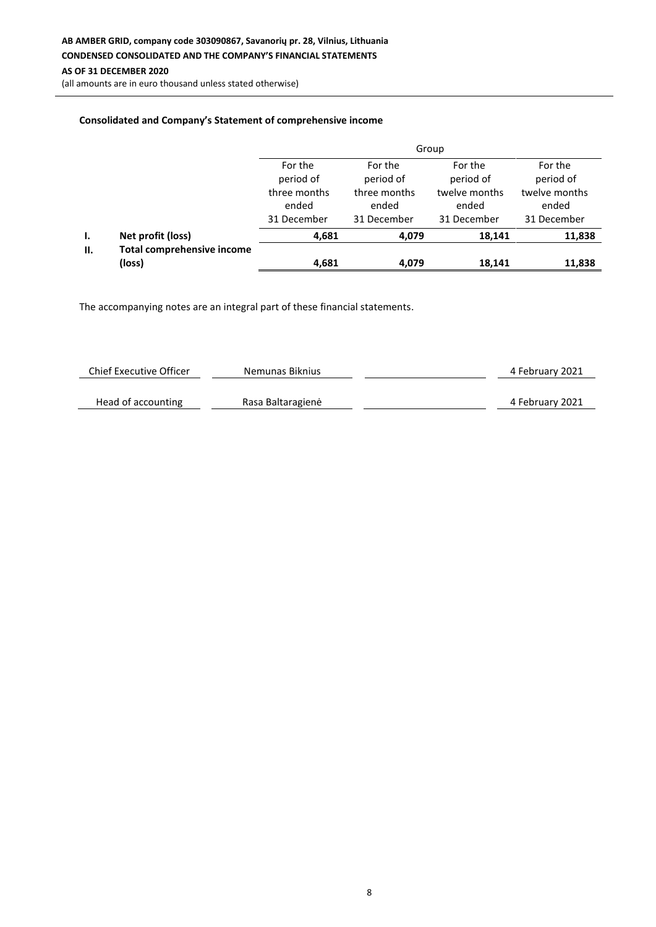(all amounts are in euro thousand unless stated otherwise)

## **Consolidated and Company's Statement of comprehensive income**

|     |                                   | Group                                |                                      |                                       |                                       |  |  |
|-----|-----------------------------------|--------------------------------------|--------------------------------------|---------------------------------------|---------------------------------------|--|--|
|     |                                   | For the<br>period of                 | For the<br>period of                 | For the<br>period of                  | For the<br>period of                  |  |  |
|     |                                   | three months<br>ended<br>31 December | three months<br>ended<br>31 December | twelve months<br>ended<br>31 December | twelve months<br>ended<br>31 December |  |  |
| Ι.  | Net profit (loss)                 | 4,681                                | 4,079                                | 18,141                                | 11,838                                |  |  |
| II. | <b>Total comprehensive income</b> |                                      |                                      |                                       |                                       |  |  |
|     | (loss)                            | 4,681                                | 4,079                                | 18,141                                | 11,838                                |  |  |

| <b>Chief Executive Officer</b> | Nemunas Biknius   | 4 February 2021 |
|--------------------------------|-------------------|-----------------|
|                                |                   |                 |
| Head of accounting             | Rasa Baltaragienė | 4 February 2021 |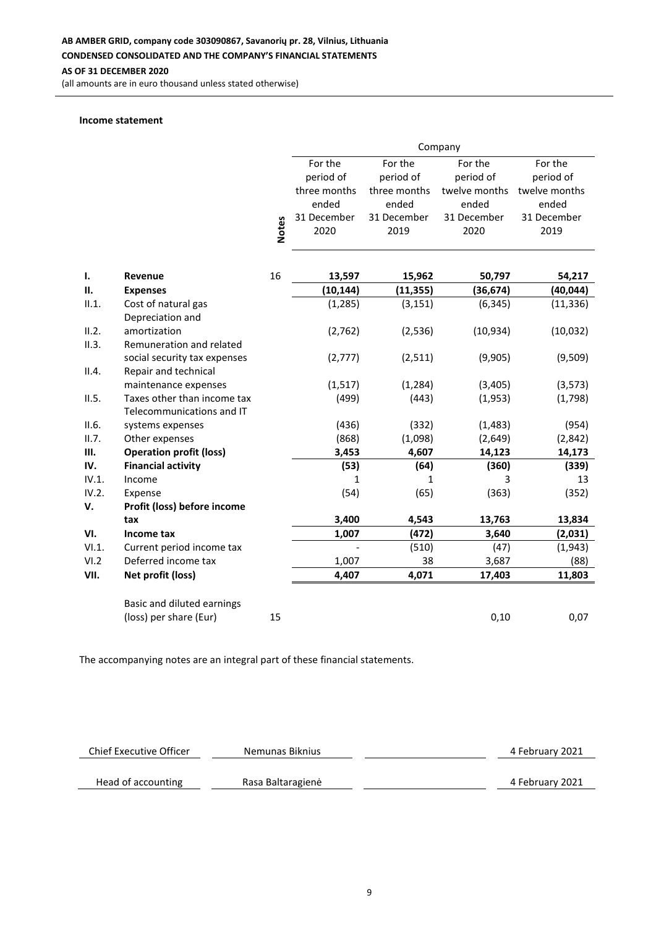**AS OF 31 DECEMBER 2020**

(all amounts are in euro thousand unless stated otherwise)

#### **Income statement**

|       |                                | Company      |              |              |               |               |
|-------|--------------------------------|--------------|--------------|--------------|---------------|---------------|
|       |                                |              | For the      | For the      | For the       | For the       |
|       |                                |              | period of    | period of    | period of     | period of     |
|       |                                |              | three months | three months | twelve months | twelve months |
|       |                                |              | ended        | ended        | ended         | ended         |
|       |                                |              | 31 December  | 31 December  | 31 December   | 31 December   |
|       |                                | <b>Notes</b> | 2020         | 2019         | 2020          | 2019          |
|       |                                |              |              |              |               |               |
| ı.    | Revenue                        | 16           | 13,597       | 15,962       | 50,797        | 54,217        |
| П.    | <b>Expenses</b>                |              | (10, 144)    | (11, 355)    | (36, 674)     | (40, 044)     |
| II.1. | Cost of natural gas            |              | (1, 285)     | (3, 151)     | (6, 345)      | (11, 336)     |
|       | Depreciation and               |              |              |              |               |               |
| II.2. | amortization                   |              | (2,762)      | (2, 536)     | (10, 934)     | (10, 032)     |
| II.3. | Remuneration and related       |              |              |              |               |               |
|       | social security tax expenses   |              | (2,777)      | (2, 511)     | (9,905)       | (9,509)       |
| II.4. | Repair and technical           |              |              |              |               |               |
|       | maintenance expenses           |              | (1, 517)     | (1, 284)     | (3,405)       | (3, 573)      |
| II.5. | Taxes other than income tax    |              | (499)        | (443)        | (1,953)       | (1,798)       |
|       | Telecommunications and IT      |              |              |              |               |               |
| II.6. | systems expenses               |              | (436)        | (332)        | (1,483)       | (954)         |
| II.7. | Other expenses                 |              | (868)        | (1,098)      | (2,649)       | (2,842)       |
| Ш.    | <b>Operation profit (loss)</b> |              | 3,453        | 4,607        | 14,123        | 14,173        |
| IV.   | <b>Financial activity</b>      |              | (53)         | (64)         | (360)         | (339)         |
| IV.1. | Income                         |              | 1            | 1            | 3             | 13            |
| IV.2. | Expense                        |              | (54)         | (65)         | (363)         | (352)         |
| V.    | Profit (loss) before income    |              |              |              |               |               |
|       | tax                            |              | 3,400        | 4,543        | 13,763        | 13,834        |
| VI.   | Income tax                     |              | 1,007        | (472)        | 3,640         | (2,031)       |
| VI.1. | Current period income tax      |              |              | (510)        | (47)          | (1,943)       |
| VI.2  | Deferred income tax            |              | 1,007        | 38           | 3,687         | (88)          |
| VII.  | Net profit (loss)              |              | 4,407        | 4,071        | 17,403        | 11,803        |
|       | Basic and diluted earnings     |              |              |              |               |               |
|       | (loss) per share (Eur)         | 15           |              |              | 0,10          | 0,07          |

| <b>Chief Executive Officer</b> | Nemunas Biknius   | 4 February 2021 |
|--------------------------------|-------------------|-----------------|
| Head of accounting             | Rasa Baltaragienė | 4 February 2021 |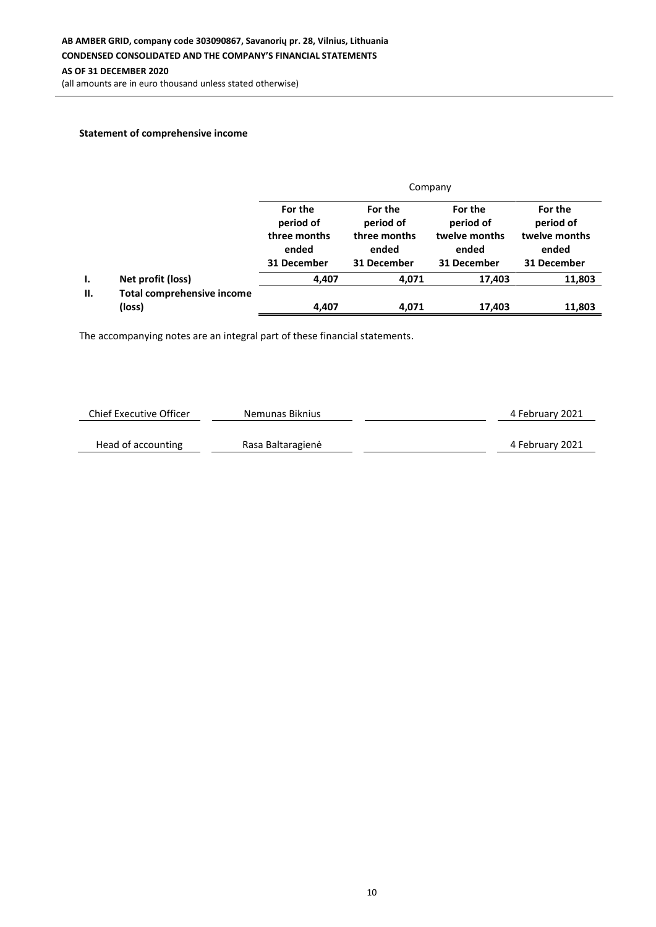(all amounts are in euro thousand unless stated otherwise)

# **Statement of comprehensive income**

|    |                                             |                                                              | Company                                                      |                                                               |                                                               |  |  |  |
|----|---------------------------------------------|--------------------------------------------------------------|--------------------------------------------------------------|---------------------------------------------------------------|---------------------------------------------------------------|--|--|--|
|    |                                             | For the<br>period of<br>three months<br>ended<br>31 December | For the<br>period of<br>three months<br>ended<br>31 December | For the<br>period of<br>twelve months<br>ended<br>31 December | For the<br>period of<br>twelve months<br>ended<br>31 December |  |  |  |
| Ι. | Net profit (loss)                           | 4,407                                                        | 4,071                                                        | 17,403                                                        | 11,803                                                        |  |  |  |
| Ш. | <b>Total comprehensive income</b><br>(loss) | 4,407                                                        | 4,071                                                        | 17,403                                                        | 11,803                                                        |  |  |  |

| Chief Executive Officer | Nemunas Biknius   | 4 February 2021 |
|-------------------------|-------------------|-----------------|
|                         |                   |                 |
| Head of accounting      | Rasa Baltaragienė | 4 February 2021 |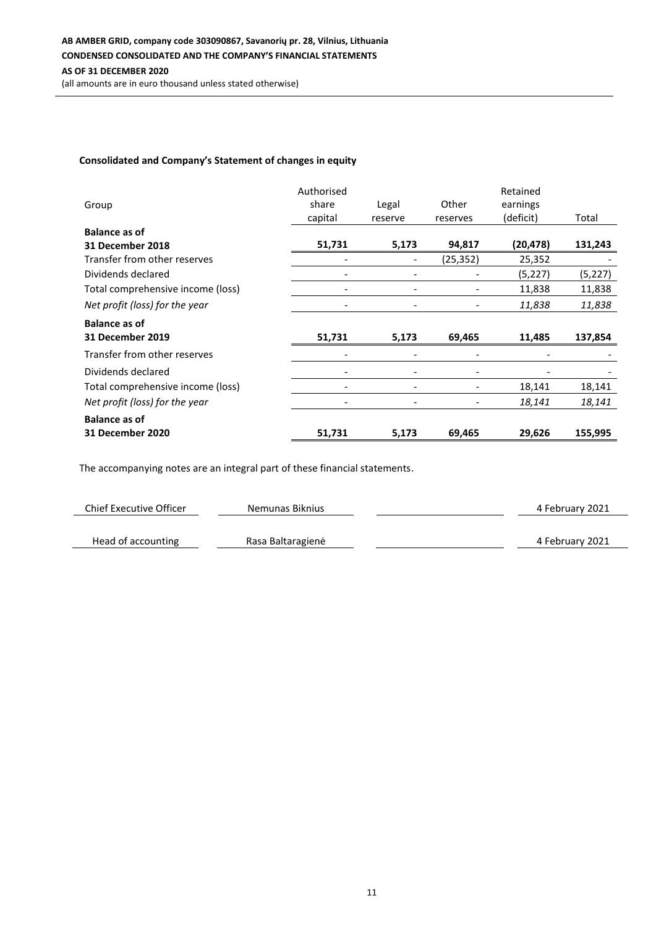# **Consolidated and Company's Statement of changes in equity**

| Group                             | Authorised<br>share<br>capital | Legal<br>reserve             | Other<br>reserves | Retained<br>earnings<br>(deficit) | Total    |
|-----------------------------------|--------------------------------|------------------------------|-------------------|-----------------------------------|----------|
| <b>Balance as of</b>              |                                |                              |                   |                                   |          |
| 31 December 2018                  | 51,731                         | 5,173                        | 94,817            | (20,478)                          | 131,243  |
| Transfer from other reserves      |                                |                              | (25,352)          | 25,352                            |          |
| Dividends declared                | $\overline{\phantom{0}}$       |                              |                   | (5,227)                           | (5, 227) |
| Total comprehensive income (loss) | $\overline{\phantom{a}}$       |                              |                   | 11,838                            | 11,838   |
| Net profit (loss) for the year    |                                | $\qquad \qquad \blacksquare$ |                   | 11,838                            | 11,838   |
| <b>Balance as of</b>              |                                |                              |                   |                                   |          |
| <b>31 December 2019</b>           | 51,731                         | 5,173                        | 69,465            | 11,485                            | 137,854  |
| Transfer from other reserves      |                                |                              |                   |                                   |          |
| Dividends declared                |                                |                              |                   |                                   |          |
| Total comprehensive income (loss) |                                | $\qquad \qquad -$            |                   | 18,141                            | 18,141   |
| Net profit (loss) for the year    |                                |                              |                   | 18,141                            | 18,141   |
| <b>Balance as of</b>              |                                |                              |                   |                                   |          |
| 31 December 2020                  | 51,731                         | 5,173                        | 69,465            | 29,626                            | 155,995  |

| Chief Executive Officer | Nemunas Biknius   | 4 February 2021 |
|-------------------------|-------------------|-----------------|
|                         |                   |                 |
| Head of accounting      | Rasa Baltaragienė | 4 February 2021 |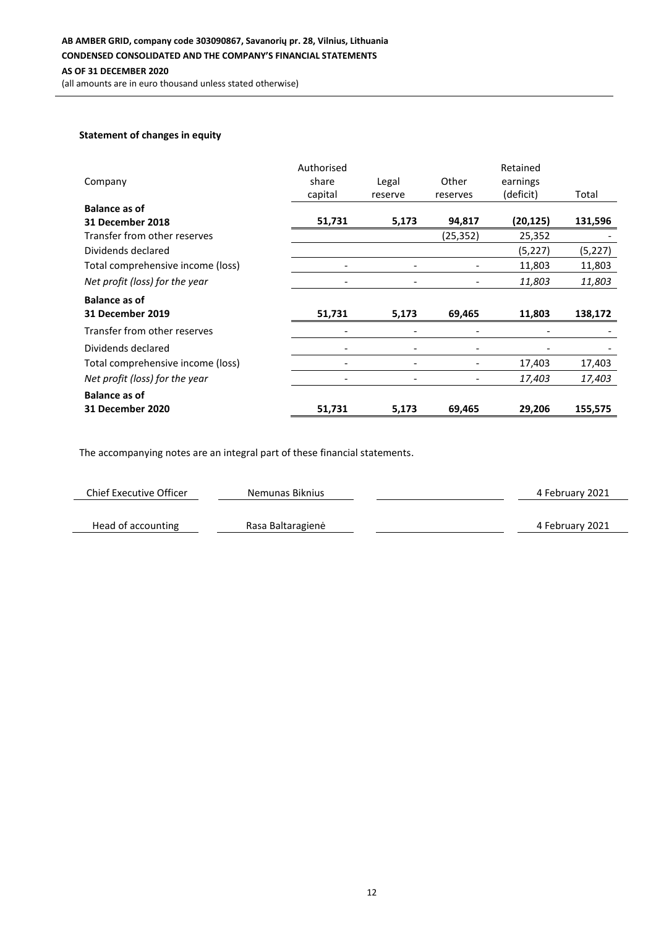#### **Statement of changes in equity**

| Company                           | Authorised<br>share<br>capital | Legal<br>reserve         | Other<br>reserves | Retained<br>earnings<br>(deficit) | Total    |
|-----------------------------------|--------------------------------|--------------------------|-------------------|-----------------------------------|----------|
| <b>Balance as of</b>              |                                |                          |                   |                                   |          |
| 31 December 2018                  | 51,731                         | 5,173                    | 94,817            | (20, 125)                         | 131,596  |
| Transfer from other reserves      |                                |                          | (25, 352)         | 25,352                            |          |
| Dividends declared                |                                |                          |                   | (5, 227)                          | (5, 227) |
| Total comprehensive income (loss) |                                |                          |                   | 11,803                            | 11,803   |
| Net profit (loss) for the year    |                                |                          |                   | 11,803                            | 11,803   |
| <b>Balance as of</b>              |                                |                          |                   |                                   |          |
| <b>31 December 2019</b>           | 51,731                         | 5,173                    | 69,465            | 11,803                            | 138,172  |
| Transfer from other reserves      |                                |                          |                   |                                   |          |
| Dividends declared                |                                |                          |                   |                                   |          |
| Total comprehensive income (loss) |                                | $\overline{\phantom{a}}$ |                   | 17,403                            | 17,403   |
| Net profit (loss) for the year    |                                |                          |                   | 17,403                            | 17,403   |
| <b>Balance as of</b>              |                                |                          |                   |                                   |          |
| <b>31 December 2020</b>           | 51,731                         | 5,173                    | 69,465            | 29,206                            | 155,575  |

| Chief Executive Officer | Nemunas Biknius   | 4 February 2021 |
|-------------------------|-------------------|-----------------|
|                         |                   |                 |
| Head of accounting      | Rasa Baltaragienė | 4 February 2021 |
|                         |                   |                 |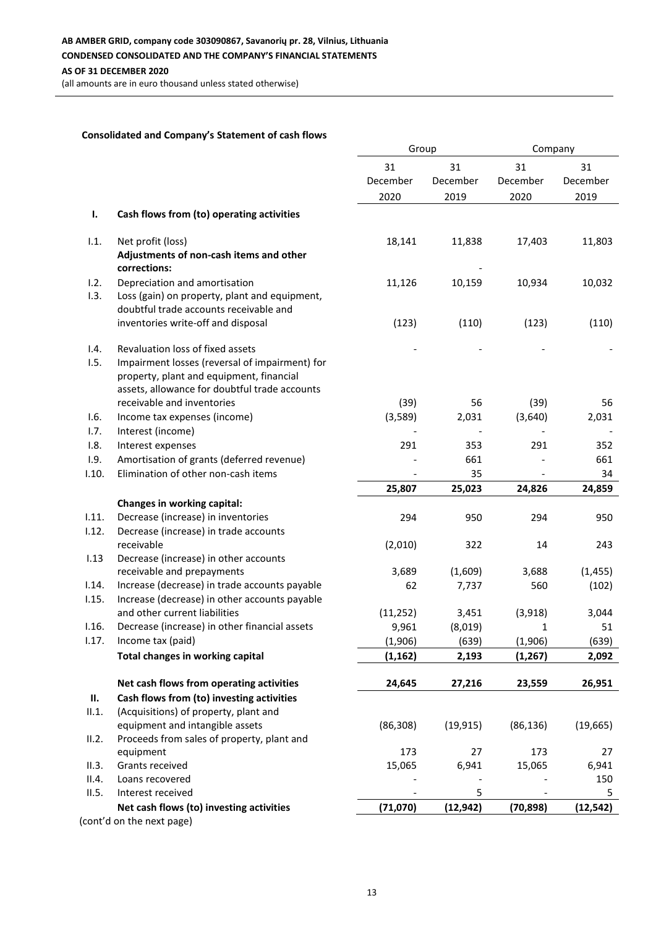(all amounts are in euro thousand unless stated otherwise)

#### **Consolidated and Company's Statement of cash flows**

|       |                                                                                         | Group     |           | Company   |           |
|-------|-----------------------------------------------------------------------------------------|-----------|-----------|-----------|-----------|
|       |                                                                                         | 31        | 31        | 31        | 31        |
|       |                                                                                         | December  | December  | December  | December  |
|       |                                                                                         |           |           |           | 2019      |
|       |                                                                                         | 2020      | 2019      | 2020      |           |
| Ι.    | Cash flows from (to) operating activities                                               |           |           |           |           |
| 1.1.  | Net profit (loss)                                                                       | 18,141    | 11,838    | 17,403    | 11,803    |
|       | Adjustments of non-cash items and other<br>corrections:                                 |           |           |           |           |
| 1.2.  | Depreciation and amortisation                                                           | 11,126    | 10,159    | 10,934    | 10,032    |
| 1.3.  | Loss (gain) on property, plant and equipment,<br>doubtful trade accounts receivable and |           |           |           |           |
|       | inventories write-off and disposal                                                      | (123)     | (110)     | (123)     | (110)     |
| 1.4.  | Revaluation loss of fixed assets                                                        |           |           |           |           |
| 1.5.  | Impairment losses (reversal of impairment) for                                          |           |           |           |           |
|       | property, plant and equipment, financial                                                |           |           |           |           |
|       | assets, allowance for doubtful trade accounts                                           |           |           |           |           |
|       | receivable and inventories                                                              | (39)      | 56        | (39)      | 56        |
| 1.6.  | Income tax expenses (income)                                                            | (3,589)   | 2,031     | (3,640)   | 2,031     |
| 1.7.  | Interest (income)                                                                       |           |           |           |           |
| 1.8.  | Interest expenses                                                                       | 291       | 353       | 291       | 352       |
| 1.9.  | Amortisation of grants (deferred revenue)                                               |           | 661       |           | 661       |
| 1.10. | Elimination of other non-cash items                                                     |           | 35        |           | 34        |
|       |                                                                                         | 25,807    | 25,023    | 24,826    | 24,859    |
|       | Changes in working capital:                                                             |           |           |           |           |
| 1.11. | Decrease (increase) in inventories                                                      | 294       | 950       | 294       | 950       |
| 1.12. | Decrease (increase) in trade accounts                                                   |           |           |           |           |
|       | receivable                                                                              | (2,010)   | 322       | 14        | 243       |
| 1.13  | Decrease (increase) in other accounts                                                   |           |           |           |           |
|       | receivable and prepayments                                                              | 3,689     | (1,609)   | 3,688     | (1, 455)  |
| 1.14. | Increase (decrease) in trade accounts payable                                           | 62        | 7,737     | 560       | (102)     |
| 1.15. | Increase (decrease) in other accounts payable                                           |           |           |           |           |
|       | and other current liabilities                                                           | (11, 252) | 3,451     | (3,918)   | 3,044     |
| 1.16. | Decrease (increase) in other financial assets                                           |           | (8,019)   |           | 51        |
|       |                                                                                         | 9,961     |           | 1         |           |
| 1.17. | Income tax (paid)                                                                       | (1,906)   | (639)     | (1,906)   | (639)     |
|       | Total changes in working capital                                                        | (1, 162)  | 2,193     | (1, 267)  | 2,092     |
|       | Net cash flows from operating activities                                                | 24,645    | 27,216    | 23,559    | 26,951    |
| П.    | Cash flows from (to) investing activities                                               |           |           |           |           |
| II.1. | (Acquisitions) of property, plant and                                                   |           |           |           |           |
|       | equipment and intangible assets                                                         | (86, 308) | (19, 915) | (86, 136) | (19, 665) |
| II.2. | Proceeds from sales of property, plant and                                              |           |           |           |           |
|       | equipment                                                                               | 173       | 27        | 173       | 27        |
| II.3. | Grants received                                                                         | 15,065    | 6,941     | 15,065    | 6,941     |
| II.4. | Loans recovered                                                                         |           |           |           | 150       |
| II.5. | Interest received                                                                       |           | 5         |           | 5         |
|       | Net cash flows (to) investing activities                                                | (71,070)  | (12, 942) | (70, 898) | (12, 542) |
|       | (cont'd on the next page)                                                               |           |           |           |           |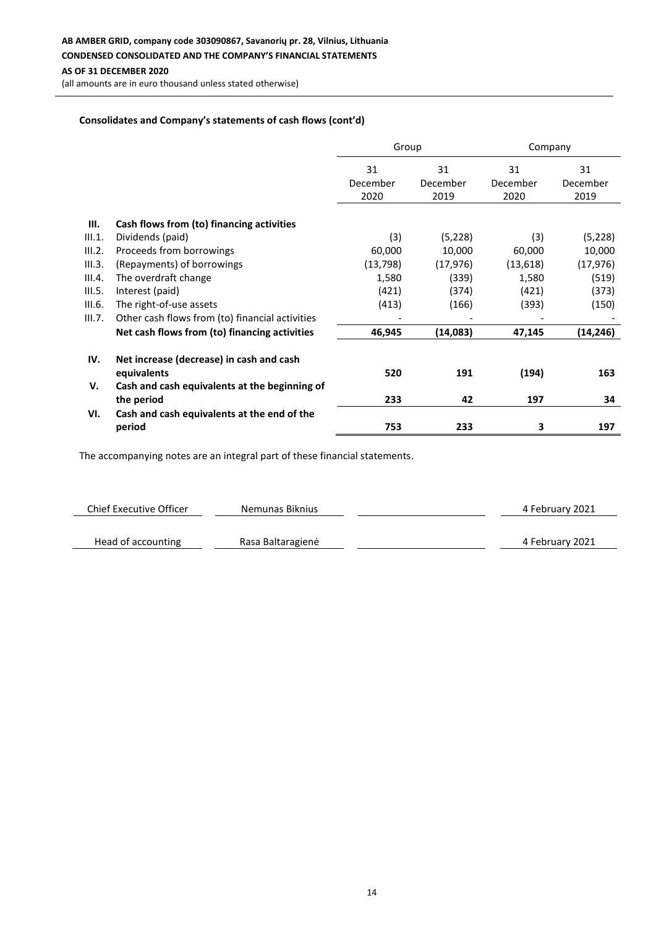(all amounts are in euro thousand unless stated otherwise)

## **Consolidates and Company's statements of cash flows (cont'd)**

|        |                                                         | Group                  |                        | Company                |                        |
|--------|---------------------------------------------------------|------------------------|------------------------|------------------------|------------------------|
|        |                                                         | 31<br>December<br>2020 | 31<br>December<br>2019 | 31<br>December<br>2020 | 31<br>December<br>2019 |
| Ш.     | Cash flows from (to) financing activities               |                        |                        |                        |                        |
| III.1. | Dividends (paid)                                        | (3)                    | (5,228)                | (3)                    | (5,228)                |
| III.2. | Proceeds from borrowings                                | 60,000                 | 10,000                 | 60,000                 | 10,000                 |
| III.3. | (Repayments) of borrowings                              | (13, 798)              | (17, 976)              | (13, 618)              | (17, 976)              |
| III.4. | The overdraft change                                    | 1,580                  | (339)                  | 1,580                  | (519)                  |
| III.5. | Interest (paid)                                         | (421)                  | (374)                  | (421)                  | (373)                  |
| III.6. | The right-of-use assets                                 | (413)                  | (166)                  | (393)                  | (150)                  |
| III.7. | Other cash flows from (to) financial activities         |                        |                        |                        |                        |
|        | Net cash flows from (to) financing activities           | 46,945                 | (14,083)               | 47,145                 | (14,246)               |
| IV.    | Net increase (decrease) in cash and cash<br>equivalents | 520                    | 191                    | (194)                  | 163                    |
| v.     | Cash and cash equivalents at the beginning of           |                        |                        |                        |                        |
|        | the period                                              | 233                    | 42                     | 197                    | 34                     |
| VI.    | Cash and cash equivalents at the end of the<br>period   | 753                    | 233                    | 3                      | 197                    |

| Chief Executive Officer | Nemunas Biknius   | 4 February 2021 |
|-------------------------|-------------------|-----------------|
|                         |                   |                 |
| Head of accounting      | Rasa Baltaragienė | 4 February 2021 |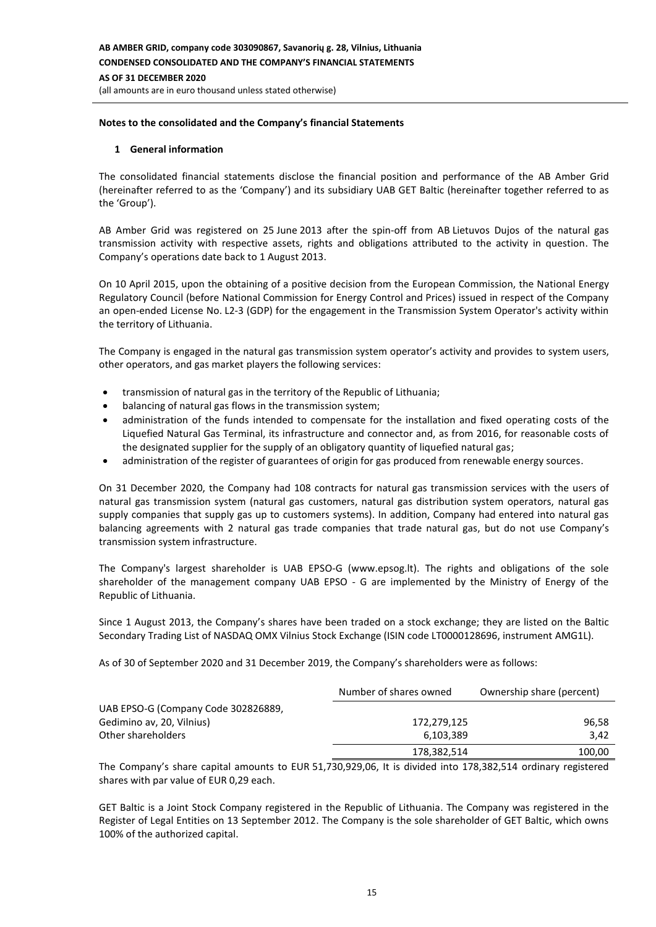#### **Notes to the consolidated and the Company's financial Statements**

#### **1 General information**

The consolidated financial statements disclose the financial position and performance of the AB Amber Grid (hereinafter referred to as the 'Company') and its subsidiary UAB GET Baltic (hereinafter together referred to as the 'Group').

AB Amber Grid was registered on 25 June 2013 after the spin-off from AB Lietuvos Dujos of the natural gas transmission activity with respective assets, rights and obligations attributed to the activity in question. The Company's operations date back to 1 August 2013.

On 10 April 2015, upon the obtaining of a positive decision from the European Commission, the National Energy Regulatory Council (before National Commission for Energy Control and Prices) issued in respect of the Company an open-ended License No. L2-3 (GDP) for the engagement in the Transmission System Operator's activity within the territory of Lithuania.

The Company is engaged in the natural gas transmission system operator's activity and provides to system users, other operators, and gas market players the following services:

- transmission of natural gas in the territory of the Republic of Lithuania;
- balancing of natural gas flows in the transmission system;
- administration of the funds intended to compensate for the installation and fixed operating costs of the Liquefied Natural Gas Terminal, its infrastructure and connector and, as from 2016, for reasonable costs of the designated supplier for the supply of an obligatory quantity of liquefied natural gas;
- administration of the register of guarantees of origin for gas produced from renewable energy sources.

On 31 December 2020, the Company had 108 contracts for natural gas transmission services with the users of natural gas transmission system (natural gas customers, natural gas distribution system operators, natural gas supply companies that supply gas up to customers systems). In addition, Company had entered into natural gas balancing agreements with 2 natural gas trade companies that trade natural gas, but do not use Company's transmission system infrastructure.

The Company's largest shareholder is UAB EPSO-G (www.epsog.lt). The rights and obligations of the sole shareholder of the management company UAB EPSO - G are implemented by the Ministry of Energy of the Republic of Lithuania.

Since 1 August 2013, the Company's shares have been traded on a stock exchange; they are listed on the Baltic Secondary Trading List of NASDAQ OMX Vilnius Stock Exchange (ISIN code LT0000128696, instrument AMG1L).

As of 30 of September 2020 and 31 December 2019, the Company's shareholders were as follows:

|                                     | Number of shares owned | Ownership share (percent) |
|-------------------------------------|------------------------|---------------------------|
| UAB EPSO-G (Company Code 302826889, |                        |                           |
| Gedimino av, 20, Vilnius)           | 172,279,125            | 96,58                     |
| Other shareholders                  | 6.103.389              | 3.42                      |
|                                     | 178,382,514            | 100,00                    |

The Company's share capital amounts to EUR 51,730,929,06, It is divided into 178,382,514 ordinary registered shares with par value of EUR 0,29 each.

GET Baltic is a Joint Stock Company registered in the Republic of Lithuania. The Company was registered in the Register of Legal Entities on 13 September 2012. The Company is the sole shareholder of GET Baltic, which owns 100% of the authorized capital.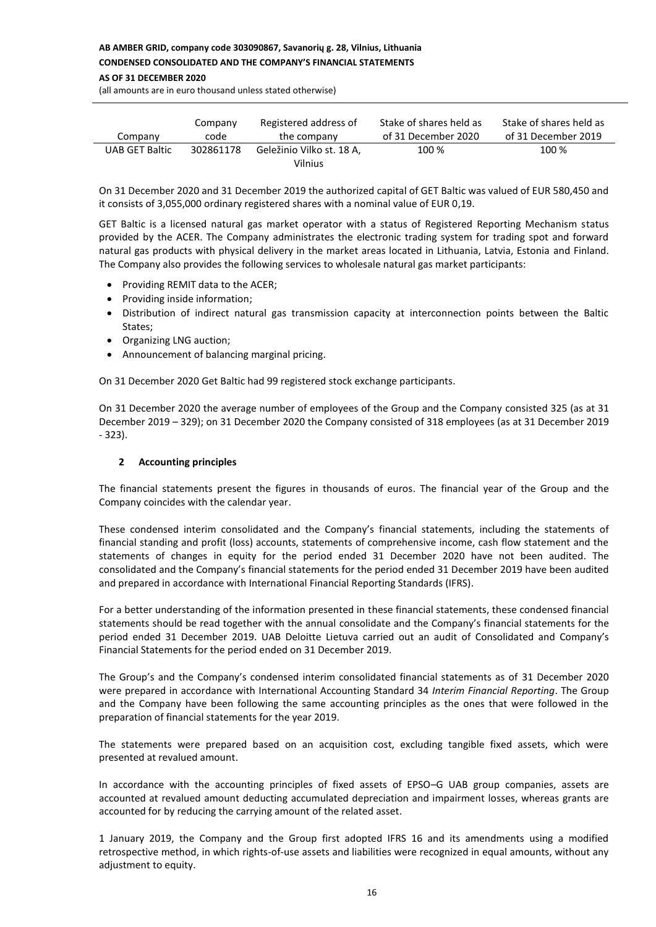#### **AB AMBER GRID, company code 303090867, Savanorių g. 28, Vilnius, Lithuania CONDENSED CONSOLIDATED AND THE COMPANY'S FINANCIAL STATEMENTS**

#### **AS OF 31 DECEMBER 2020**

(all amounts are in euro thousand unless stated otherwise)

| Company        | Company   | Registered address of                | Stake of shares held as | Stake of shares held as |
|----------------|-----------|--------------------------------------|-------------------------|-------------------------|
|                | code      | the company                          | of 31 December 2020     | of 31 December 2019     |
| UAB GET Baltic | 302861178 | Geležinio Vilko st. 18 A,<br>Vilnius | 100 %                   | 100 %                   |

On 31 December 2020 and 31 December 2019 the authorized capital of GET Baltic was valued of EUR 580,450 and it consists of 3,055,000 ordinary registered shares with a nominal value of EUR 0,19.

GET Baltic is a licensed natural gas market operator with a status of Registered Reporting Mechanism status provided by the ACER. The Company administrates the electronic trading system for trading spot and forward natural gas products with physical delivery in the market areas located in Lithuania, Latvia, Estonia and Finland. The Company also provides the following services to wholesale natural gas market participants:

- Providing REMIT data to the ACER;
- Providing inside information;
- Distribution of indirect natural gas transmission capacity at interconnection points between the Baltic States;
- Organizing LNG auction;
- Announcement of balancing marginal pricing.

On 31 December 2020 Get Baltic had 99 registered stock exchange participants.

On 31 December 2020 the average number of employees of the Group and the Company consisted 325 (as at 31 December 2019 – 329); on 31 December 2020 the Company consisted of 318 employees (as at 31 December 2019 - 323).

## **2 Accounting principles**

The financial statements present the figures in thousands of euros. The financial year of the Group and the Company coincides with the calendar year.

These condensed interim consolidated and the Company's financial statements, including the statements of financial standing and profit (loss) accounts, statements of comprehensive income, cash flow statement and the statements of changes in equity for the period ended 31 December 2020 have not been audited. The consolidated and the Company's financial statements for the period ended 31 December 2019 have been audited and prepared in accordance with International Financial Reporting Standards (IFRS).

For a better understanding of the information presented in these financial statements, these condensed financial statements should be read together with the annual consolidate and the Company's financial statements for the period ended 31 December 2019. UAB Deloitte Lietuva carried out an audit of Consolidated and Company's Financial Statements for the period ended on 31 December 2019.

The Group's and the Company's condensed interim consolidated financial statements as of 31 December 2020 were prepared in accordance with International Accounting Standard 34 *Interim Financial Reporting*. The Group and the Company have been following the same accounting principles as the ones that were followed in the preparation of financial statements for the year 2019.

The statements were prepared based on an acquisition cost, excluding tangible fixed assets, which were presented at revalued amount.

In accordance with the accounting principles of fixed assets of EPSO–G UAB group companies, assets are accounted at revalued amount deducting accumulated depreciation and impairment losses, whereas grants are accounted for by reducing the carrying amount of the related asset.

1 January 2019, the Company and the Group first adopted IFRS 16 and its amendments using a modified retrospective method, in which rights-of-use assets and liabilities were recognized in equal amounts, without any adjustment to equity.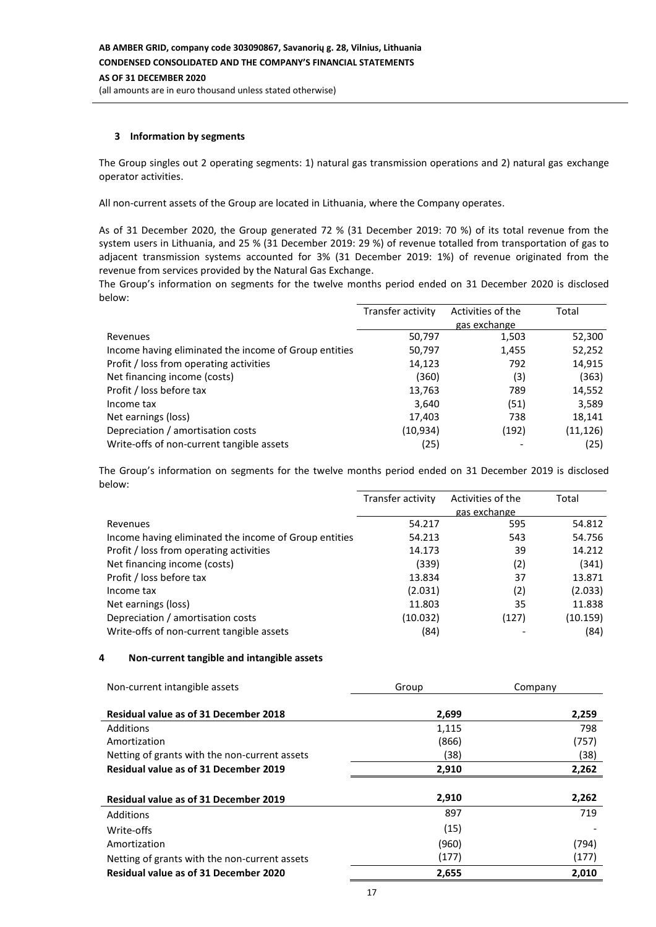### **3 Information by segments**

The Group singles out 2 operating segments: 1) natural gas transmission operations and 2) natural gas exchange operator activities.

All non-current assets of the Group are located in Lithuania, where the Company operates.

As of 31 December 2020, the Group generated 72 % (31 December 2019: 70 %) of its total revenue from the system users in Lithuania, and 25 % (31 December 2019: 29 %) of revenue totalled from transportation of gas to adjacent transmission systems accounted for 3% (31 December 2019: 1%) of revenue originated from the revenue from services provided by the Natural Gas Exchange.

The Group's information on segments for the twelve months period ended on 31 December 2020 is disclosed below:

|                                                       | Transfer activity | Activities of the | Total     |
|-------------------------------------------------------|-------------------|-------------------|-----------|
|                                                       |                   | gas exchange      |           |
| Revenues                                              | 50,797            | 1,503             | 52,300    |
| Income having eliminated the income of Group entities | 50,797            | 1,455             | 52,252    |
| Profit / loss from operating activities               | 14,123            | 792               | 14,915    |
| Net financing income (costs)                          | (360)             | (3)               | (363)     |
| Profit / loss before tax                              | 13,763            | 789               | 14,552    |
| Income tax                                            | 3,640             | (51)              | 3,589     |
| Net earnings (loss)                                   | 17,403            | 738               | 18,141    |
| Depreciation / amortisation costs                     | (10,934)          | (192)             | (11, 126) |
| Write-offs of non-current tangible assets             | (25)              |                   | (25)      |

The Group's information on segments for the twelve months period ended on 31 December 2019 is disclosed below:

|                                                       | Transfer activity | Activities of the | Total    |
|-------------------------------------------------------|-------------------|-------------------|----------|
|                                                       |                   | gas exchange      |          |
| Revenues                                              | 54.217            | 595               | 54.812   |
| Income having eliminated the income of Group entities | 54.213            | 543               | 54.756   |
| Profit / loss from operating activities               | 14.173            | 39                | 14.212   |
| Net financing income (costs)                          | (339)             | (2)               | (341)    |
| Profit / loss before tax                              | 13.834            | 37                | 13.871   |
| Income tax                                            | (2.031)           | (2)               | (2.033)  |
| Net earnings (loss)                                   | 11.803            | 35                | 11.838   |
| Depreciation / amortisation costs                     | (10.032)          | (127)             | (10.159) |
| Write-offs of non-current tangible assets             | (84)              |                   | (84)     |

#### **4 Non-current tangible and intangible assets**

| Non-current intangible assets                 | Group | Company |
|-----------------------------------------------|-------|---------|
| <b>Residual value as of 31 December 2018</b>  | 2,699 | 2,259   |
| Additions                                     | 1,115 | 798     |
| Amortization                                  | (866) | (757)   |
| Netting of grants with the non-current assets | (38)  | (38)    |
| <b>Residual value as of 31 December 2019</b>  | 2,910 | 2,262   |
|                                               |       |         |
| <b>Residual value as of 31 December 2019</b>  | 2,910 | 2,262   |
| Additions                                     | 897   | 719     |
| Write-offs                                    | (15)  |         |
| Amortization                                  | (960) | (794)   |
| Netting of grants with the non-current assets | (177) | (177)   |
| <b>Residual value as of 31 December 2020</b>  | 2,655 | 2,010   |
|                                               |       |         |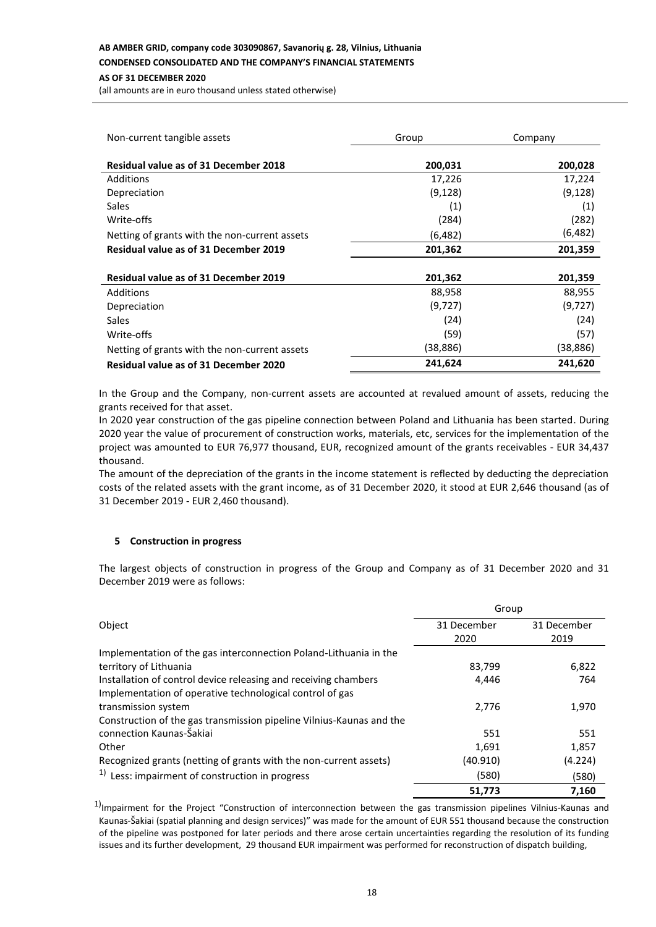# **AB AMBER GRID, company code 303090867, Savanorių g. 28, Vilnius, Lithuania**

# **CONDENSED CONSOLIDATED AND THE COMPANY'S FINANCIAL STATEMENTS**

# **AS OF 31 DECEMBER 2020**

(all amounts are in euro thousand unless stated otherwise)

| Non-current tangible assets                   | Group     | Company  |  |
|-----------------------------------------------|-----------|----------|--|
| <b>Residual value as of 31 December 2018</b>  | 200,031   | 200,028  |  |
| Additions                                     | 17,226    | 17,224   |  |
| Depreciation                                  | (9, 128)  | (9, 128) |  |
| Sales                                         | (1)       | (1)      |  |
| Write-offs                                    | (284)     | (282)    |  |
| Netting of grants with the non-current assets | (6,482)   | (6,482)  |  |
| <b>Residual value as of 31 December 2019</b>  | 201,362   | 201,359  |  |
|                                               |           |          |  |
| <b>Residual value as of 31 December 2019</b>  | 201,362   | 201,359  |  |
| Additions                                     | 88,958    | 88,955   |  |
| Depreciation                                  | (9,727)   | (9, 727) |  |
| Sales                                         | (24)      | (24)     |  |
| Write-offs                                    | (59)      | (57)     |  |
| Netting of grants with the non-current assets | (38, 886) | (38,886) |  |
| <b>Residual value as of 31 December 2020</b>  | 241,624   | 241,620  |  |

In the Group and the Company, non-current assets are accounted at revalued amount of assets, reducing the grants received for that asset.

In 2020 year construction of the gas pipeline connection between Poland and Lithuania has been started. During 2020 year the value of procurement of construction works, materials, etc, services for the implementation of the project was amounted to EUR 76,977 thousand, EUR, recognized amount of the grants receivables - EUR 34,437 thousand.

The amount of the depreciation of the grants in the income statement is reflected by deducting the depreciation costs of the related assets with the grant income, as of 31 December 2020, it stood at EUR 2,646 thousand (as of 31 December 2019 - EUR 2,460 thousand).

# **5 Construction in progress**

The largest objects of construction in progress of the Group and Company as of 31 December 2020 and 31 December 2019 were as follows:

|                                                                      | Group       |             |  |
|----------------------------------------------------------------------|-------------|-------------|--|
| Object                                                               | 31 December | 31 December |  |
|                                                                      | 2020        | 2019        |  |
| Implementation of the gas interconnection Poland-Lithuania in the    |             |             |  |
| territory of Lithuania                                               | 83,799      | 6,822       |  |
| Installation of control device releasing and receiving chambers      | 4,446       | 764         |  |
| Implementation of operative technological control of gas             |             |             |  |
| transmission system                                                  | 2,776       | 1,970       |  |
| Construction of the gas transmission pipeline Vilnius-Kaunas and the |             |             |  |
| connection Kaunas-Šakiai                                             | 551         | 551         |  |
| Other                                                                | 1,691       | 1,857       |  |
| Recognized grants (netting of grants with the non-current assets)    | (40.910)    | (4.224)     |  |
| <sup>1)</sup> Less: impairment of construction in progress           | (580)       | (580)       |  |
|                                                                      | 51,773      | 7,160       |  |

 $1)$ Impairment for the Project "Construction of interconnection between the gas transmission pipelines Vilnius-Kaunas and Kaunas-Šakiai (spatial planning and design services)" was made for the amount of EUR 551 thousand because the construction of the pipeline was postponed for later periods and there arose certain uncertainties regarding the resolution of its funding issues and its further development, 29 thousand EUR impairment was performed for reconstruction of dispatch building,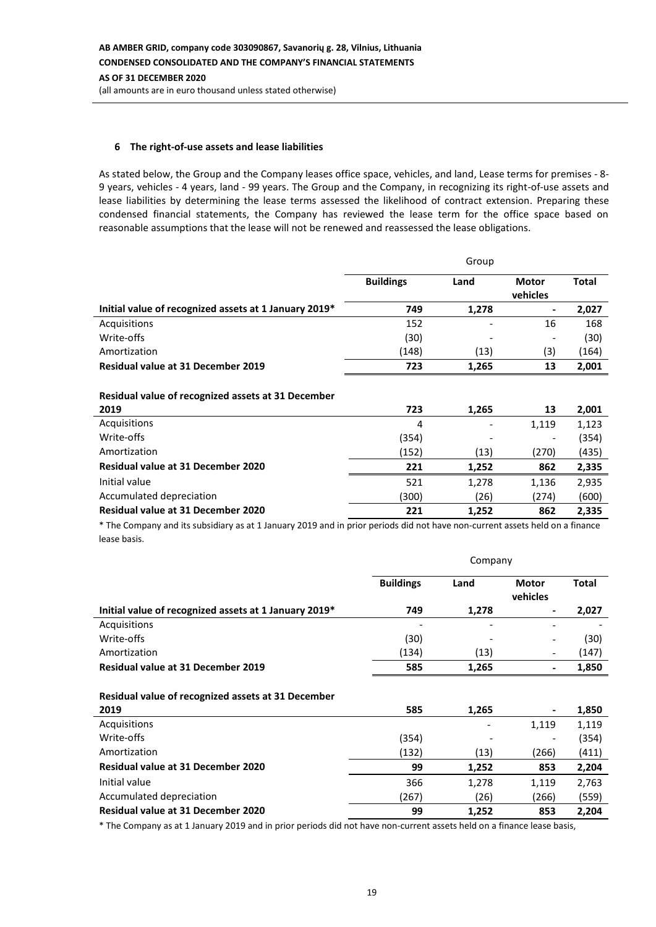# **6 The right-of-use assets and lease liabilities**

l,

As stated below, the Group and the Company leases office space, vehicles, and land, Lease terms for premises - 8- 9 years, vehicles - 4 years, land - 99 years. The Group and the Company, in recognizing its right-of-use assets and lease liabilities by determining the lease terms assessed the likelihood of contract extension. Preparing these condensed financial statements, the Company has reviewed the lease term for the office space based on reasonable assumptions that the lease will not be renewed and reassessed the lease obligations.

|                                                       | Group            |       |                          |              |
|-------------------------------------------------------|------------------|-------|--------------------------|--------------|
|                                                       | <b>Buildings</b> | Land  | <b>Motor</b><br>vehicles | <b>Total</b> |
| Initial value of recognized assets at 1 January 2019* | 749              | 1,278 | ٠                        | 2,027        |
| Acquisitions                                          | 152              |       | 16                       | 168          |
| Write-offs                                            | (30)             |       |                          | (30)         |
| Amortization                                          | (148)            | (13)  | (3)                      | (164)        |
| Residual value at 31 December 2019                    | 723              | 1,265 | 13                       | 2,001        |
| Residual value of recognized assets at 31 December    |                  |       |                          |              |
| 2019                                                  | 723              | 1,265 | 13                       | 2,001        |
| Acquisitions                                          | 4                |       | 1,119                    | 1,123        |
| Write-offs                                            | (354)            |       | ٠                        | (354)        |
| Amortization                                          | (152)            | (13)  | (270)                    | (435)        |
| <b>Residual value at 31 December 2020</b>             | 221              | 1,252 | 862                      | 2,335        |
| Initial value                                         | 521              | 1,278 | 1,136                    | 2,935        |
| Accumulated depreciation                              | (300)            | (26)  | (274)                    | (600)        |
| <b>Residual value at 31 December 2020</b>             | 221              | 1,252 | 862                      | 2,335        |

\* The Company and its subsidiary as at 1 January 2019 and in prior periods did not have non-current assets held on a finance lease basis.

|                                                       | Company          |       |                              |              |
|-------------------------------------------------------|------------------|-------|------------------------------|--------------|
|                                                       | <b>Buildings</b> | Land  | <b>Motor</b><br>vehicles     | <b>Total</b> |
| Initial value of recognized assets at 1 January 2019* | 749              | 1,278 | $\overline{\phantom{0}}$     | 2,027        |
| Acquisitions                                          |                  |       |                              |              |
| Write-offs                                            | (30)             |       |                              | (30)         |
| Amortization                                          | (134)            | (13)  | $\qquad \qquad \blacksquare$ | (147)        |
| Residual value at 31 December 2019                    | 585              | 1,265 | $\overline{\phantom{0}}$     | 1,850        |
| Residual value of recognized assets at 31 December    |                  |       |                              |              |
| 2019                                                  | 585              | 1,265 |                              | 1,850        |
| Acquisitions                                          |                  |       | 1,119                        | 1,119        |
| Write-offs                                            | (354)            |       |                              | (354)        |
| Amortization                                          | (132)            | (13)  | (266)                        | (411)        |
| <b>Residual value at 31 December 2020</b>             | 99               | 1,252 | 853                          | 2,204        |
| Initial value                                         | 366              | 1,278 | 1,119                        | 2,763        |
| Accumulated depreciation                              | (267)            | (26)  | (266)                        | (559)        |
| <b>Residual value at 31 December 2020</b>             | 99               | 1,252 | 853                          | 2,204        |

\* The Company as at 1 January 2019 and in prior periods did not have non-current assets held on a finance lease basis,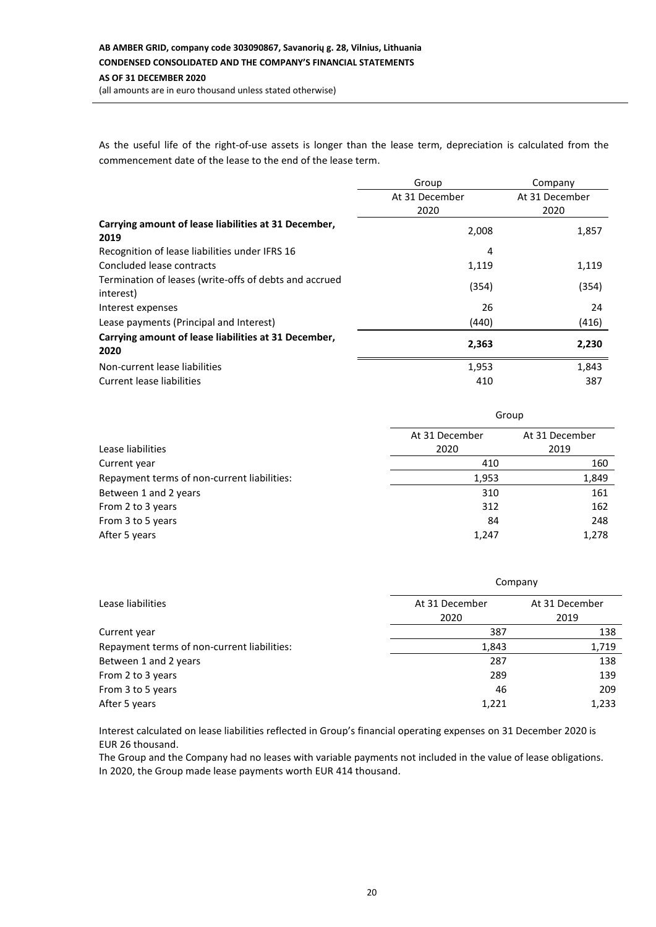# **AB AMBER GRID, company code 303090867, Savanorių g. 28, Vilnius, Lithuania CONDENSED CONSOLIDATED AND THE COMPANY'S FINANCIAL STATEMENTS AS OF 31 DECEMBER 2020**

(all amounts are in euro thousand unless stated otherwise)

As the useful life of the right-of-use assets is longer than the lease term, depreciation is calculated from the commencement date of the lease to the end of the lease term.

|                                                                     | Group          | Company        |
|---------------------------------------------------------------------|----------------|----------------|
|                                                                     | At 31 December | At 31 December |
|                                                                     | 2020           | 2020           |
| Carrying amount of lease liabilities at 31 December,<br>2019        | 2,008          | 1,857          |
| Recognition of lease liabilities under IFRS 16                      | 4              |                |
| Concluded lease contracts                                           | 1,119          | 1,119          |
| Termination of leases (write-offs of debts and accrued<br>interest) | (354)          | (354)          |
| Interest expenses                                                   | 26             | 24             |
| Lease payments (Principal and Interest)                             | (440)          | (416)          |
| Carrying amount of lease liabilities at 31 December,<br>2020        | 2,363          | 2,230          |
| Non-current lease liabilities                                       | 1,953          | 1,843          |
| Current lease liabilities                                           | 410            | 387            |

|                                             | Group          |                |  |
|---------------------------------------------|----------------|----------------|--|
|                                             | At 31 December | At 31 December |  |
| Lease liabilities                           | 2020           | 2019           |  |
| Current year                                | 410            | 160            |  |
| Repayment terms of non-current liabilities: | 1,953          |                |  |
| Between 1 and 2 years                       | 310            | 161            |  |
| From 2 to 3 years                           | 312            | 162            |  |
| From 3 to 5 years                           | 84             | 248            |  |
| After 5 years                               | 1,247          | 1,278          |  |

|                                             | Company        |                |  |  |
|---------------------------------------------|----------------|----------------|--|--|
| Lease liabilities                           | At 31 December | At 31 December |  |  |
|                                             | 2020           | 2019           |  |  |
| Current year                                | 387            |                |  |  |
| Repayment terms of non-current liabilities: | 1,719<br>1,843 |                |  |  |
| Between 1 and 2 years                       | 287            |                |  |  |
| From 2 to 3 years                           | 289            | 139            |  |  |
| From 3 to 5 years                           | 46<br>209      |                |  |  |
| After 5 years                               | 1,221          | 1,233          |  |  |

Interest calculated on lease liabilities reflected in Group's financial operating expenses on 31 December 2020 is EUR 26 thousand.

The Group and the Company had no leases with variable payments not included in the value of lease obligations. In 2020, the Group made lease payments worth EUR 414 thousand.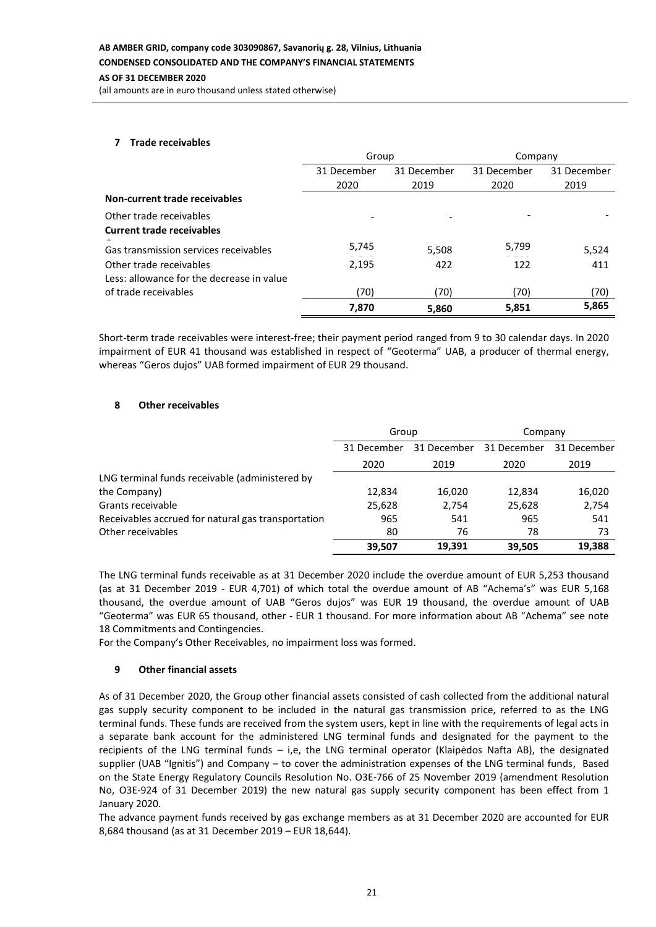# **AS OF 31 DECEMBER 2020**

(all amounts are in euro thousand unless stated otherwise)

#### **7 Trade receivables**

|                                           | Group       |             | Company     |             |
|-------------------------------------------|-------------|-------------|-------------|-------------|
|                                           | 31 December | 31 December | 31 December | 31 December |
|                                           | 2020        | 2019        | 2020        | 2019        |
| Non-current trade receivables             |             |             |             |             |
| Other trade receivables                   |             |             |             |             |
| <b>Current trade receivables</b>          |             |             |             |             |
| Gas transmission services receivables     | 5,745       | 5,508       | 5,799       | 5,524       |
| Other trade receivables                   | 2,195       | 422         | 122         | 411         |
| Less: allowance for the decrease in value |             |             |             |             |
| of trade receivables                      | (70)        | (70)        | (70)        | (70)        |
|                                           | 7,870       | 5,860       | 5,851       | 5,865       |

Short-term trade receivables were interest-free; their payment period ranged from 9 to 30 calendar days. In 2020 impairment of EUR 41 thousand was established in respect of "Geoterma" UAB, a producer of thermal energy, whereas "Geros dujos" UAB formed impairment of EUR 29 thousand.

### **8 Other receivables**

|                                                    | Group                      |        | Company     |             |
|----------------------------------------------------|----------------------------|--------|-------------|-------------|
|                                                    | 31 December<br>31 December |        | 31 December | 31 December |
|                                                    | 2020                       | 2019   | 2020        | 2019        |
| LNG terminal funds receivable (administered by     |                            |        |             |             |
| the Company)                                       | 12,834                     | 16,020 | 12,834      | 16,020      |
| Grants receivable                                  | 25,628                     | 2.754  | 25,628      | 2,754       |
| Receivables accrued for natural gas transportation | 965                        | 541    | 965         | 541         |
| Other receivables                                  | 80                         | 76     | 78          | 73          |
|                                                    | 39,507                     | 19,391 | 39.505      | 19,388      |

The LNG terminal funds receivable as at 31 December 2020 include the overdue amount of EUR 5,253 thousand (as at 31 December 2019 - EUR 4,701) of which total the overdue amount of AB "Achema's" was EUR 5,168 thousand, the overdue amount of UAB "Geros dujos" was EUR 19 thousand, the overdue amount of UAB "Geoterma" was EUR 65 thousand, other - EUR 1 thousand. For more information about AB "Achema" see note 18 Commitments and Contingencies.

For the Company's Other Receivables, no impairment loss was formed.

### **9 Other financial assets**

As of 31 December 2020, the Group other financial assets consisted of cash collected from the additional natural gas supply security component to be included in the natural gas transmission price, referred to as the LNG terminal funds. These funds are received from the system users, kept in line with the requirements of legal acts in a separate bank account for the administered LNG terminal funds and designated for the payment to the recipients of the LNG terminal funds – i,e, the LNG terminal operator (Klaipėdos Nafta AB), the designated supplier (UAB "Ignitis") and Company – to cover the administration expenses of the LNG terminal funds, Based on the State Energy Regulatory Councils Resolution No. O3E-766 of 25 November 2019 (amendment Resolution No, O3E-924 of 31 December 2019) the new natural gas supply security component has been effect from 1 January 2020.

The advance payment funds received by gas exchange members as at 31 December 2020 are accounted for EUR 8,684 thousand (as at 31 December 2019 – EUR 18,644).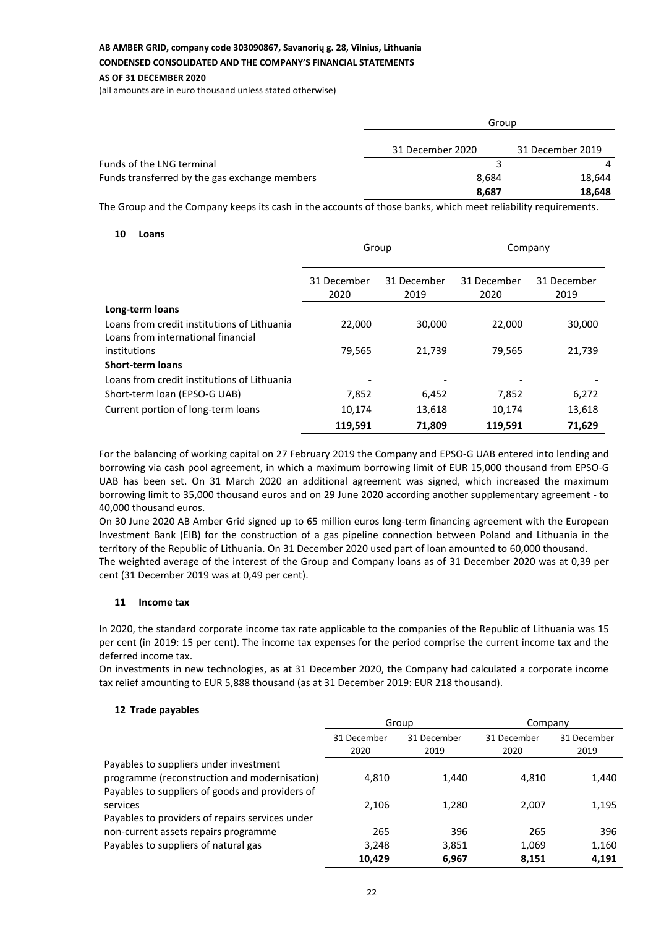# **AB AMBER GRID, company code 303090867, Savanorių g. 28, Vilnius, Lithuania CONDENSED CONSOLIDATED AND THE COMPANY'S FINANCIAL STATEMENTS**

## **AS OF 31 DECEMBER 2020**

(all amounts are in euro thousand unless stated otherwise)

|                                               | Group            |                  |  |
|-----------------------------------------------|------------------|------------------|--|
|                                               | 31 December 2020 | 31 December 2019 |  |
| Funds of the LNG terminal                     |                  | 4                |  |
| Funds transferred by the gas exchange members | 8.684            | 18.644           |  |
|                                               | 8,687            | 18,648           |  |

The Group and the Company keeps its cash in the accounts of those banks, which meet reliability requirements.

### **10 Loans**

|                                             | Group               |                     | Company             |                     |
|---------------------------------------------|---------------------|---------------------|---------------------|---------------------|
|                                             | 31 December<br>2020 | 31 December<br>2019 | 31 December<br>2020 | 31 December<br>2019 |
| Long-term loans                             |                     |                     |                     |                     |
| Loans from credit institutions of Lithuania | 22,000              | 30,000              | 22,000              | 30,000              |
| Loans from international financial          |                     |                     |                     |                     |
| institutions                                | 79,565              | 21,739              | 79,565              | 21,739              |
| <b>Short-term loans</b>                     |                     |                     |                     |                     |
| Loans from credit institutions of Lithuania |                     |                     |                     |                     |
| Short-term loan (EPSO-G UAB)                | 7,852               | 6,452               | 7,852               | 6,272               |
| Current portion of long-term loans          | 10,174              | 13,618              | 10,174              | 13,618              |
|                                             | 119,591             | 71,809              | 119,591             | 71.629              |

For the balancing of working capital on 27 February 2019 the Company and EPSO-G UAB entered into lending and borrowing via cash pool agreement, in which a maximum borrowing limit of EUR 15,000 thousand from EPSO-G UAB has been set. On 31 March 2020 an additional agreement was signed, which increased the maximum borrowing limit to 35,000 thousand euros and on 29 June 2020 according another supplementary agreement - to 40,000 thousand euros.

On 30 June 2020 AB Amber Grid signed up to 65 million euros long-term financing agreement with the European Investment Bank (EIB) for the construction of a gas pipeline connection between Poland and Lithuania in the territory of the Republic of Lithuania. On 31 December 2020 used part of loan amounted to 60,000 thousand. The weighted average of the interest of the Group and Company loans as of 31 December 2020 was at 0,39 per cent (31 December 2019 was at 0,49 per cent).

### **11 Income tax**

In 2020, the standard corporate income tax rate applicable to the companies of the Republic of Lithuania was 15 per cent (in 2019: 15 per cent). The income tax expenses for the period comprise the current income tax and the deferred income tax.

On investments in new technologies, as at 31 December 2020, the Company had calculated a corporate income tax relief amounting to EUR 5,888 thousand (as at 31 December 2019: EUR 218 thousand).

### **12 Trade payables**

|                                                 | Group               |                     | Company             |                     |
|-------------------------------------------------|---------------------|---------------------|---------------------|---------------------|
|                                                 | 31 December<br>2020 | 31 December<br>2019 | 31 December<br>2020 | 31 December<br>2019 |
| Payables to suppliers under investment          |                     |                     |                     |                     |
| programme (reconstruction and modernisation)    | 4.810               | 1,440               | 4.810               | 1,440               |
| Payables to suppliers of goods and providers of |                     |                     |                     |                     |
| services                                        | 2,106               | 1,280               | 2,007               | 1,195               |
| Payables to providers of repairs services under |                     |                     |                     |                     |
| non-current assets repairs programme            | 265                 | 396                 | 265                 | 396                 |
| Payables to suppliers of natural gas            | 3,248               | 3,851               | 1,069               | 1,160               |
|                                                 | 10.429              | 6.967               | 8.151               | 4.191               |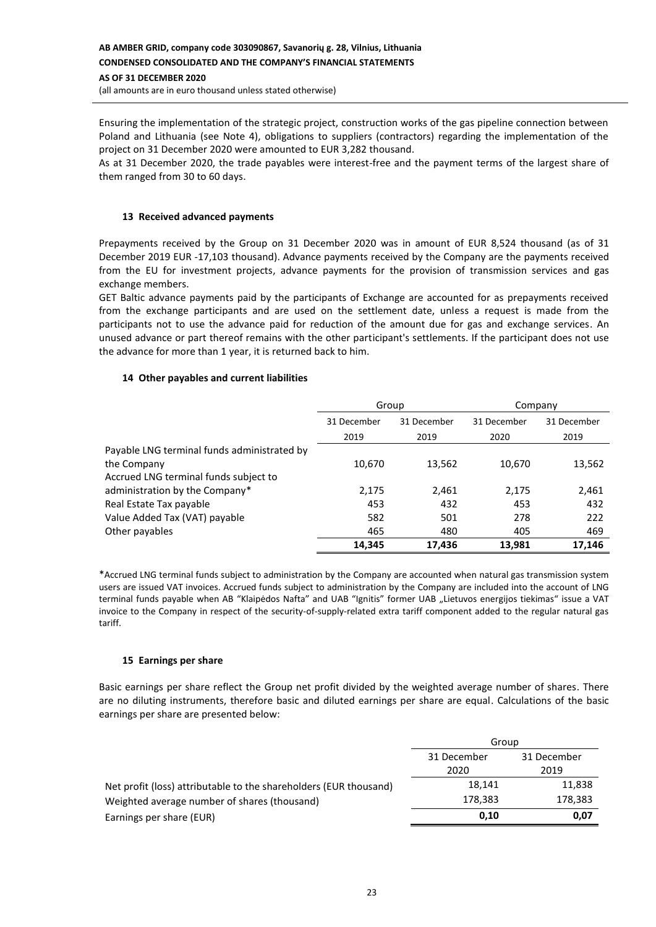Ensuring the implementation of the strategic project, construction works of the gas pipeline connection between Poland and Lithuania (see Note 4), obligations to suppliers (contractors) regarding the implementation of the project on 31 December 2020 were amounted to EUR 3,282 thousand.

As at 31 December 2020, the trade payables were interest-free and the payment terms of the largest share of them ranged from 30 to 60 days.

### **13 Received advanced payments**

Prepayments received by the Group on 31 December 2020 was in amount of EUR 8,524 thousand (as of 31 December 2019 EUR -17,103 thousand). Advance payments received by the Company are the payments received from the EU for investment projects, advance payments for the provision of transmission services and gas exchange members.

GET Baltic advance payments paid by the participants of Exchange are accounted for as prepayments received from the exchange participants and are used on the settlement date, unless a request is made from the participants not to use the advance paid for reduction of the amount due for gas and exchange services. An unused advance or part thereof remains with the other participant's settlements. If the participant does not use the advance for more than 1 year, it is returned back to him.

### **14 Other payables and current liabilities**

|                                             | Group       |             | Company     |             |
|---------------------------------------------|-------------|-------------|-------------|-------------|
|                                             | 31 December | 31 December | 31 December | 31 December |
|                                             | 2019        | 2019        | 2020        | 2019        |
| Payable LNG terminal funds administrated by |             |             |             |             |
| the Company                                 | 10,670      | 13,562      | 10,670      | 13,562      |
| Accrued LNG terminal funds subject to       |             |             |             |             |
| administration by the Company*              | 2,175       | 2,461       | 2,175       | 2,461       |
| Real Estate Tax payable                     | 453         | 432         | 453         | 432         |
| Value Added Tax (VAT) payable               | 582         | 501         | 278         | 222         |
| Other payables                              | 465         | 480         | 405         | 469         |
|                                             | 14.345      | 17.436      | 13,981      | 17.146      |

\*Accrued LNG terminal funds subject to administration by the Company are accounted when natural gas transmission system users are issued VAT invoices. Accrued funds subject to administration by the Company are included into the account of LNG terminal funds payable when AB "Klaipėdos Nafta" and UAB "Ignitis" former UAB "Lietuvos energijos tiekimas" issue a VAT invoice to the Company in respect of the security-of-supply-related extra tariff component added to the regular natural gas tariff.

### **15 Earnings per share**

Basic earnings per share reflect the Group net profit divided by the weighted average number of shares. There are no diluting instruments, therefore basic and diluted earnings per share are equal. Calculations of the basic earnings per share are presented below:

|                                                                   | Group               |                     |  |  |
|-------------------------------------------------------------------|---------------------|---------------------|--|--|
|                                                                   | 31 December<br>2020 | 31 December<br>2019 |  |  |
| Net profit (loss) attributable to the shareholders (EUR thousand) | 18,141              | 11,838              |  |  |
| Weighted average number of shares (thousand)                      | 178,383             | 178,383             |  |  |
| Earnings per share (EUR)                                          | 0.10                | 0,07                |  |  |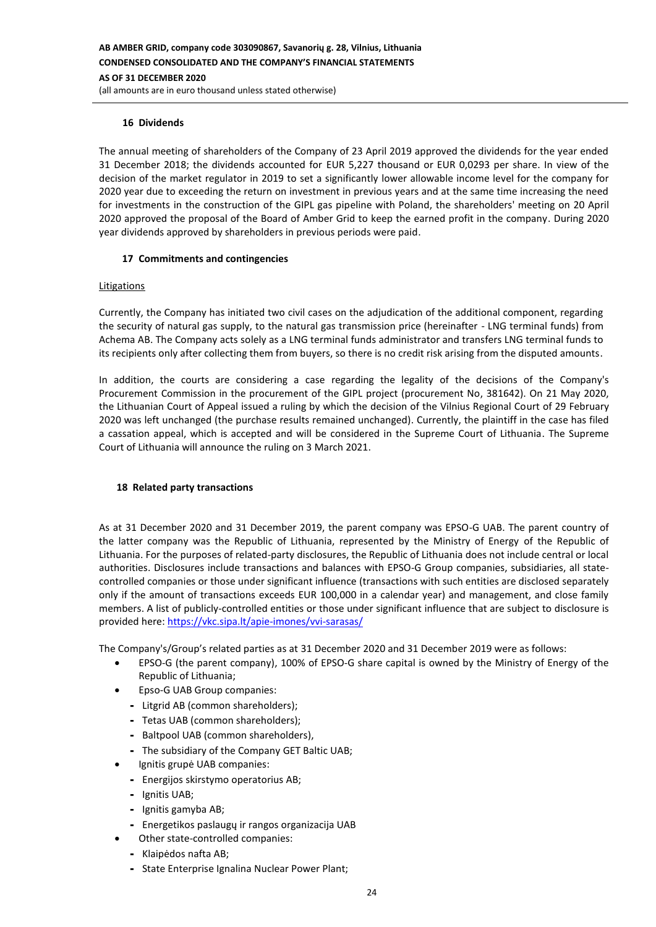### **16 Dividends**

The annual meeting of shareholders of the Company of 23 April 2019 approved the dividends for the year ended 31 December 2018; the dividends accounted for EUR 5,227 thousand or EUR 0,0293 per share. In view of the decision of the market regulator in 2019 to set a significantly lower allowable income level for the company for 2020 year due to exceeding the return on investment in previous years and at the same time increasing the need for investments in the construction of the GIPL gas pipeline with Poland, the shareholders' meeting on 20 April 2020 approved the proposal of the Board of Amber Grid to keep the earned profit in the company. During 2020 year dividends approved by shareholders in previous periods were paid.

#### **17 Commitments and contingencies**

#### Litigations

Currently, the Company has initiated two civil cases on the adjudication of the additional component, regarding the security of natural gas supply, to the natural gas transmission price (hereinafter - LNG terminal funds) from Achema AB. The Company acts solely as a LNG terminal funds administrator and transfers LNG terminal funds to its recipients only after collecting them from buyers, so there is no credit risk arising from the disputed amounts.

In addition, the courts are considering a case regarding the legality of the decisions of the Company's Procurement Commission in the procurement of the GIPL project (procurement No, 381642). On 21 May 2020, the Lithuanian Court of Appeal issued a ruling by which the decision of the Vilnius Regional Court of 29 February 2020 was left unchanged (the purchase results remained unchanged). Currently, the plaintiff in the case has filed a cassation appeal, which is accepted and will be considered in the Supreme Court of Lithuania. The Supreme Court of Lithuania will announce the ruling on 3 March 2021.

#### **18 Related party transactions**

As at 31 December 2020 and 31 December 2019, the parent company was EPSO-G UAB. The parent country of the latter company was the Republic of Lithuania, represented by the Ministry of Energy of the Republic of Lithuania. For the purposes of related-party disclosures, the Republic of Lithuania does not include central or local authorities. Disclosures include transactions and balances with EPSO-G Group companies, subsidiaries, all statecontrolled companies or those under significant influence (transactions with such entities are disclosed separately only if the amount of transactions exceeds EUR 100,000 in a calendar year) and management, and close family members. A list of publicly-controlled entities or those under significant influence that are subject to disclosure is provided here:<https://vkc.sipa.lt/apie-imones/vvi-sarasas/>

The Company's/Group's related parties as at 31 December 2020 and 31 December 2019 were as follows:

- EPSO-G (the parent company), 100% of EPSO-G share capital is owned by the Ministry of Energy of the Republic of Lithuania;
- Epso-G UAB Group companies:
	- Litgrid AB (common shareholders);
	- Tetas UAB (common shareholders);
	- Baltpool UAB (common shareholders),
	- The subsidiary of the Company GET Baltic UAB;
	- Ignitis grupė UAB companies:
	- Energijos skirstymo operatorius AB;
	- Ignitis UAB;
	- Ignitis gamyba AB;
	- Energetikos paslaugų ir rangos organizacija UAB
	- Other state-controlled companies:
	- Klaipėdos nafta AB;
	- State Enterprise Ignalina Nuclear Power Plant;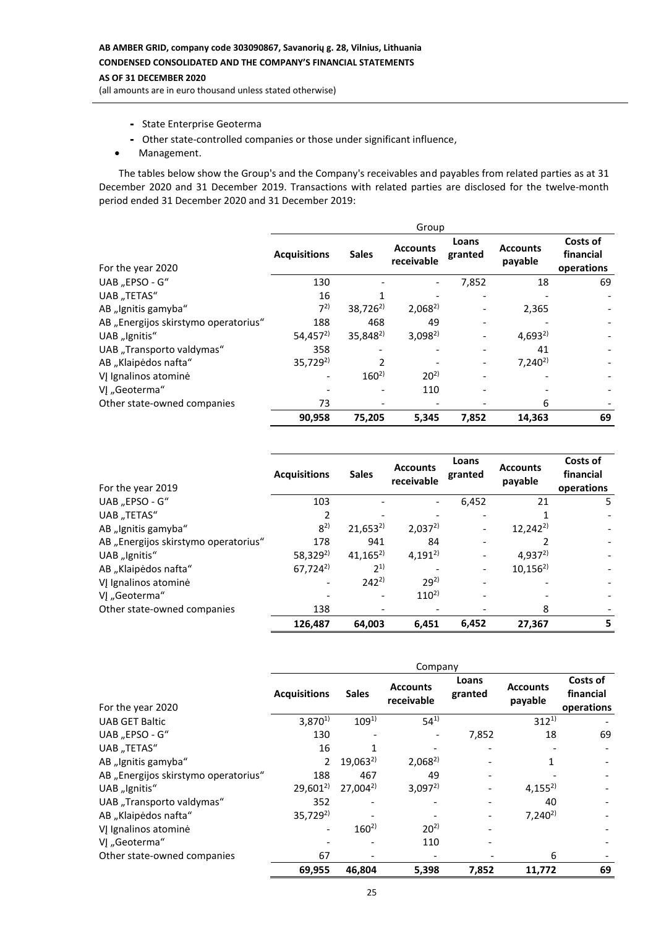# **AB AMBER GRID, company code 303090867, Savanorių g. 28, Vilnius, Lithuania CONDENSED CONSOLIDATED AND THE COMPANY'S FINANCIAL STATEMENTS**

# **AS OF 31 DECEMBER 2020**

(all amounts are in euro thousand unless stated otherwise)

- State Enterprise Geoterma
- Other state-controlled companies or those under significant influence,
- Management.

The tables below show the Group's and the Company's receivables and payables from related parties as at 31 December 2020 and 31 December 2019. Transactions with related parties are disclosed for the twelve-month period ended 31 December 2020 and 31 December 2019:

|                                      | Group                |                      |                               |                  |                            |                                     |
|--------------------------------------|----------------------|----------------------|-------------------------------|------------------|----------------------------|-------------------------------------|
| For the year 2020                    | <b>Acquisitions</b>  | <b>Sales</b>         | <b>Accounts</b><br>receivable | Loans<br>granted | <b>Accounts</b><br>payable | Costs of<br>financial<br>operations |
| UAB "EPSO - G"                       | 130                  |                      |                               | 7,852            | 18                         | 69                                  |
| UAB "TETAS"                          | 16                   |                      |                               |                  |                            |                                     |
| AB "Ignitis gamyba"                  | $7^{2}$              | $38,726^{2}$         | $2.068^{2}$                   |                  | 2,365                      |                                     |
| AB "Energijos skirstymo operatorius" | 188                  | 468                  | 49                            |                  |                            |                                     |
| UAB "Ignitis"                        | 54,457 <sup>2)</sup> | 35,848 <sup>2)</sup> | $3,098^{2}$                   |                  | $4,693^{2}$                |                                     |
| UAB "Transporto valdymas"            | 358                  |                      |                               |                  | 41                         |                                     |
| AB "Klaipėdos nafta"                 | $35,729^{2}$         |                      |                               |                  | $7,240^{2}$                |                                     |
| VĮ Ignalinos atominė                 |                      | $160^{2}$            | $20^{2}$                      |                  |                            |                                     |
| VJ "Geoterma"                        |                      |                      | 110                           |                  |                            |                                     |
| Other state-owned companies          | 73                   |                      |                               |                  | 6                          |                                     |
|                                      | 90,958               | 75,205               | 5,345                         | 7,852            | 14,363                     | 69                                  |

| For the year 2019                    | <b>Acquisitions</b>  | <b>Sales</b> | <b>Accounts</b><br>receivable | Loans<br>granted | <b>Accounts</b><br>payable | Costs of<br>financial<br>operations |
|--------------------------------------|----------------------|--------------|-------------------------------|------------------|----------------------------|-------------------------------------|
| UAB "EPSO - G"                       | 103                  |              |                               | 6,452            | 21                         | 5.                                  |
| UAB "TETAS"                          |                      |              |                               |                  |                            |                                     |
| AB "Ignitis gamyba"                  | $8^{2}$              | $21,653^{2}$ | $2,037^{2}$                   |                  | $12,242^{2}$               |                                     |
| AB "Energijos skirstymo operatorius" | 178                  | 941          | 84                            |                  |                            |                                     |
| UAB "Ignitis"                        | 58,329 <sup>2)</sup> | $41,165^{2}$ | $4,191^{2}$                   |                  | $4,937^{2}$                |                                     |
| AB "Klaipėdos nafta"                 | $67,724^{2}$         | $2^{1}$      |                               |                  | $10,156^{2}$               |                                     |
| VJ Ignalinos atominė                 |                      | $242^{2}$    | $29^{2}$                      |                  |                            |                                     |
| VI "Geoterma"                        |                      |              | $110^{2}$                     |                  |                            |                                     |
| Other state-owned companies          | 138                  |              |                               |                  | 8                          |                                     |
|                                      | 126.487              | 64,003       | 6.451                         | 6.452            | 27.367                     | 5                                   |

|                                      | Company             |              |                               |                  |                            |                                     |
|--------------------------------------|---------------------|--------------|-------------------------------|------------------|----------------------------|-------------------------------------|
| For the year 2020                    | <b>Acquisitions</b> | <b>Sales</b> | <b>Accounts</b><br>receivable | Loans<br>granted | <b>Accounts</b><br>payable | Costs of<br>financial<br>operations |
| <b>UAB GET Baltic</b>                | $3,870^{1}$         | $109^{1}$    | $54^{1}$                      |                  | $312^{1}$                  |                                     |
| UAB "EPSO - G"                       | 130                 |              |                               | 7,852            | 18                         | 69                                  |
| UAB "TETAS"                          | 16                  |              |                               |                  |                            |                                     |
| AB "Ignitis gamyba"                  | 2                   | $19,063^{2}$ | $2,068^{2}$                   |                  |                            |                                     |
| AB "Energijos skirstymo operatorius" | 188                 | 467          | 49                            |                  |                            |                                     |
| UAB "Ignitis"                        | $29,601^{2}$        | $27,004^{2}$ | $3,097^{2}$                   |                  | $4,155^{2}$                |                                     |
| UAB "Transporto valdymas"            | 352                 |              |                               |                  | 40                         |                                     |
| AB "Klaipėdos nafta"                 | $35,729^{2}$        |              |                               |                  | $7,240^{2}$                |                                     |
| VJ Ignalinos atominė                 |                     | $160^{2}$    | $20^{2}$                      |                  |                            |                                     |
| VJ "Geoterma"                        |                     |              | 110                           |                  |                            |                                     |
| Other state-owned companies          | 67                  |              |                               |                  | 6                          |                                     |
|                                      | 69,955              | 46.804       | 5,398                         | 7,852            | 11,772                     | 69                                  |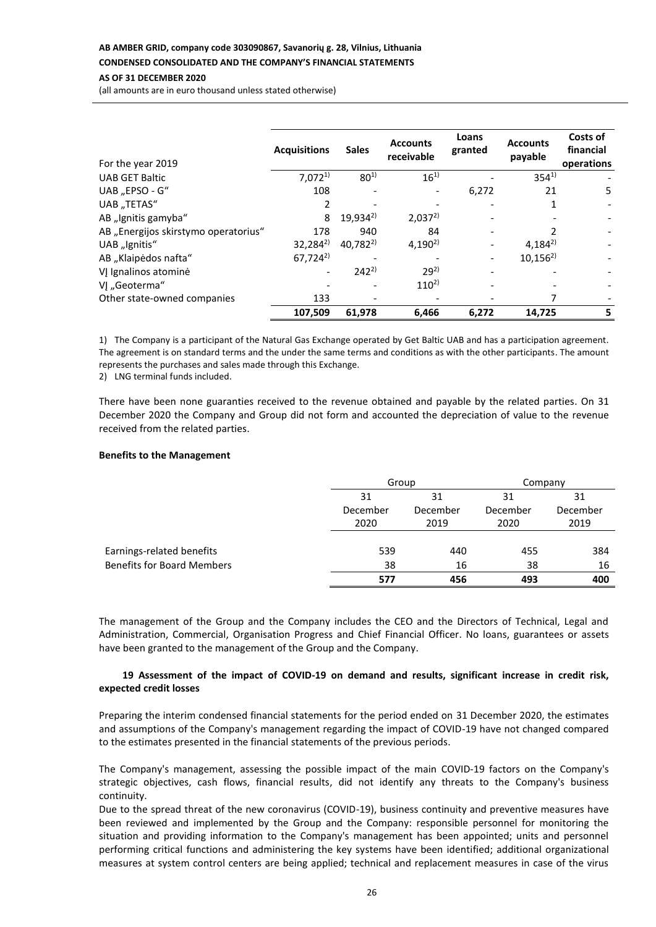# **AB AMBER GRID, company code 303090867, Savanorių g. 28, Vilnius, Lithuania**

# **CONDENSED CONSOLIDATED AND THE COMPANY'S FINANCIAL STATEMENTS**

# **AS OF 31 DECEMBER 2020**

(all amounts are in euro thousand unless stated otherwise)

| For the year 2019                    | <b>Acquisitions</b> | <b>Sales</b> | <b>Accounts</b><br>receivable | Loans<br>granted | <b>Accounts</b><br>payable | Costs of<br>financial<br>operations |
|--------------------------------------|---------------------|--------------|-------------------------------|------------------|----------------------------|-------------------------------------|
| <b>UAB GET Baltic</b>                | $7,072^{1}$         | $80^{1}$     | $16^{1}$                      |                  | $354^{1}$                  |                                     |
| UAB "EPSO - G"                       | 108                 |              |                               | 6,272            | 21                         | 5                                   |
| UAB "TETAS"                          |                     |              |                               |                  |                            |                                     |
| AB "Ignitis gamyba"                  | 8                   | $19,934^{2}$ | $2,037^{2}$                   |                  |                            |                                     |
| AB "Energijos skirstymo operatorius" | 178                 | 940          | 84                            |                  |                            |                                     |
| UAB "Ignitis"                        | $32,284^{2}$        | $40,782^{2}$ | $4,190^{2}$                   |                  | $4.184^{2}$                |                                     |
| AB "Klaipėdos nafta"                 | $67,724^{2}$        |              |                               |                  | $10,156^{2}$               |                                     |
| VJ Ignalinos atominė                 |                     | $242^{2}$    | $29^{2}$                      |                  |                            |                                     |
| VJ "Geoterma"                        |                     |              | $110^{2}$                     |                  |                            |                                     |
| Other state-owned companies          | 133                 |              |                               |                  | 7                          |                                     |
|                                      | 107,509             | 61,978       | 6,466                         | 6,272            | 14,725                     | 5                                   |

1) The Company is a participant of the Natural Gas Exchange operated by Get Baltic UAB and has a participation agreement. The agreement is on standard terms and the under the same terms and conditions as with the other participants. The amount represents the purchases and sales made through this Exchange.

2) LNG terminal funds included.

There have been none guaranties received to the revenue obtained and payable by the related parties. On 31 December 2020 the Company and Group did not form and accounted the depreciation of value to the revenue received from the related parties.

#### **Benefits to the Management**

|                                   | Group |                            | Company |          |  |
|-----------------------------------|-------|----------------------------|---------|----------|--|
|                                   | 31    | 31<br>December<br>December |         | 31       |  |
|                                   |       |                            |         | December |  |
|                                   | 2020  | 2019                       | 2020    | 2019     |  |
|                                   |       |                            |         |          |  |
| Earnings-related benefits         | 539   | 440                        | 455     | 384      |  |
| <b>Benefits for Board Members</b> | 38    | 16                         | 38      | 16       |  |
|                                   | 577   | 456                        | 493     | 400      |  |

The management of the Group and the Company includes the CEO and the Directors of Technical, Legal and Administration, Commercial, Organisation Progress and Chief Financial Officer. No loans, guarantees or assets have been granted to the management of the Group and the Company.

#### **19 Assessment of the impact of COVID-19 on demand and results, significant increase in credit risk, expected credit losses**

Preparing the interim condensed financial statements for the period ended on 31 December 2020, the estimates and assumptions of the Company's management regarding the impact of COVID-19 have not changed compared to the estimates presented in the financial statements of the previous periods.

The Company's management, assessing the possible impact of the main COVID-19 factors on the Company's strategic objectives, cash flows, financial results, did not identify any threats to the Company's business continuity.

Due to the spread threat of the new coronavirus (COVID-19), business continuity and preventive measures have been reviewed and implemented by the Group and the Company: responsible personnel for monitoring the situation and providing information to the Company's management has been appointed; units and personnel performing critical functions and administering the key systems have been identified; additional organizational measures at system control centers are being applied; technical and replacement measures in case of the virus